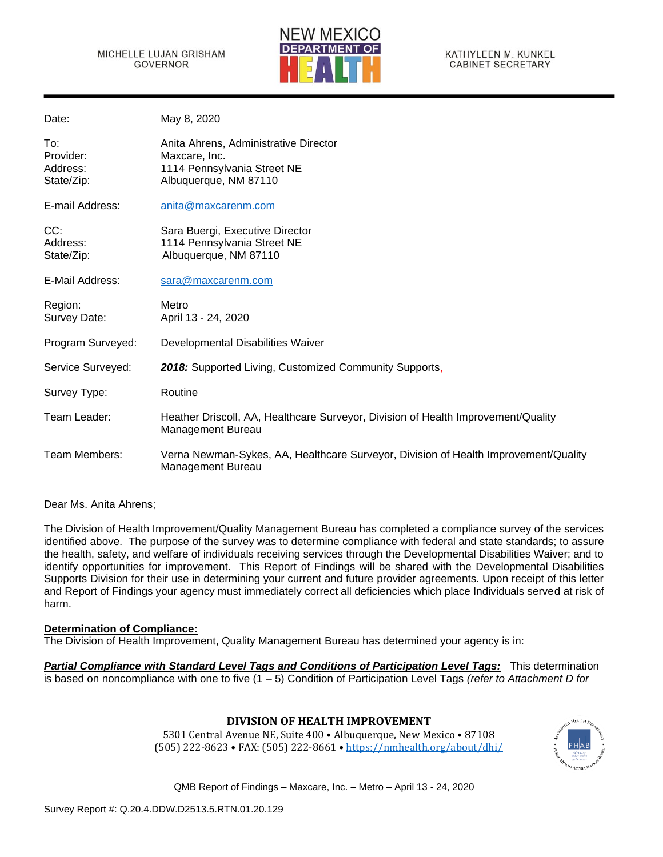

KATHYLEEN M. KUNKEL **CABINET SECRETARY** 

| Date:                                      | May 8, 2020                                                                                                    |
|--------------------------------------------|----------------------------------------------------------------------------------------------------------------|
| To:<br>Provider:<br>Address:<br>State/Zip: | Anita Ahrens, Administrative Director<br>Maxcare, Inc.<br>1114 Pennsylvania Street NE<br>Albuquerque, NM 87110 |
| E-mail Address:                            | anita@maxcarenm.com                                                                                            |
| CC:<br>Address:<br>State/Zip:              | Sara Buergi, Executive Director<br>1114 Pennsylvania Street NE<br>Albuquerque, NM 87110                        |
| E-Mail Address:                            | sara@maxcarenm.com                                                                                             |
| Region:<br>Survey Date:                    | Metro<br>April 13 - 24, 2020                                                                                   |
| Program Surveyed:                          | Developmental Disabilities Waiver                                                                              |
| Service Surveyed:                          | 2018: Supported Living, Customized Community Supports,                                                         |
| Survey Type:                               | Routine                                                                                                        |
| Team Leader:                               | Heather Driscoll, AA, Healthcare Surveyor, Division of Health Improvement/Quality<br>Management Bureau         |
| Team Members:                              | Verna Newman-Sykes, AA, Healthcare Surveyor, Division of Health Improvement/Quality<br>Management Bureau       |

Dear Ms. Anita Ahrens;

The Division of Health Improvement/Quality Management Bureau has completed a compliance survey of the services identified above. The purpose of the survey was to determine compliance with federal and state standards; to assure the health, safety, and welfare of individuals receiving services through the Developmental Disabilities Waiver; and to identify opportunities for improvement. This Report of Findings will be shared with the Developmental Disabilities Supports Division for their use in determining your current and future provider agreements. Upon receipt of this letter and Report of Findings your agency must immediately correct all deficiencies which place Individuals served at risk of harm.

### **Determination of Compliance:**

The Division of Health Improvement, Quality Management Bureau has determined your agency is in:

*Partial Compliance with Standard Level Tags and Conditions of Participation Level Tags:* This determination is based on noncompliance with one to five (1 – 5) Condition of Participation Level Tags *(refer to Attachment D for* 

# **DIVISION OF HEALTH IMPROVEMENT**

5301 Central Avenue NE, Suite 400 • Albuquerque, New Mexico • 87108 (505) 222-8623 • FAX: (505) 222-8661 • <https://nmhealth.org/about/dhi/>

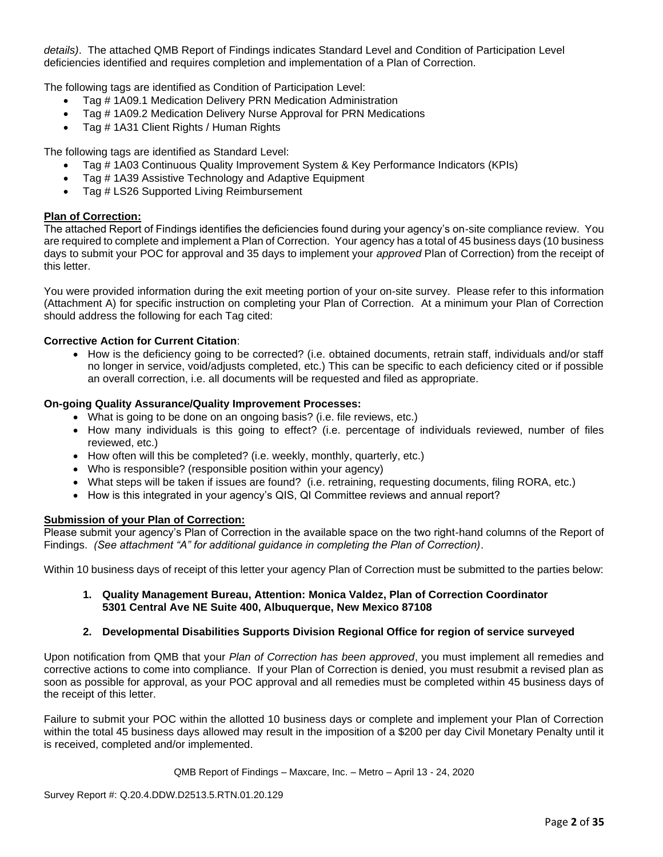*details)*. The attached QMB Report of Findings indicates Standard Level and Condition of Participation Level deficiencies identified and requires completion and implementation of a Plan of Correction.

The following tags are identified as Condition of Participation Level:

- Tag # 1A09.1 Medication Delivery PRN Medication Administration
- Tag # 1A09.2 Medication Delivery Nurse Approval for PRN Medications
- Tag # 1A31 Client Rights / Human Rights

The following tags are identified as Standard Level:

- Tag # 1A03 Continuous Quality Improvement System & Key Performance Indicators (KPIs)
- Tag # 1A39 Assistive Technology and Adaptive Equipment
- Tag # LS26 Supported Living Reimbursement

### **Plan of Correction:**

The attached Report of Findings identifies the deficiencies found during your agency's on-site compliance review. You are required to complete and implement a Plan of Correction. Your agency has a total of 45 business days (10 business days to submit your POC for approval and 35 days to implement your *approved* Plan of Correction) from the receipt of this letter.

You were provided information during the exit meeting portion of your on-site survey. Please refer to this information (Attachment A) for specific instruction on completing your Plan of Correction. At a minimum your Plan of Correction should address the following for each Tag cited:

# **Corrective Action for Current Citation**:

• How is the deficiency going to be corrected? (i.e. obtained documents, retrain staff, individuals and/or staff no longer in service, void/adjusts completed, etc.) This can be specific to each deficiency cited or if possible an overall correction, i.e. all documents will be requested and filed as appropriate.

### **On-going Quality Assurance/Quality Improvement Processes:**

- What is going to be done on an ongoing basis? (i.e. file reviews, etc.)
- How many individuals is this going to effect? (i.e. percentage of individuals reviewed, number of files reviewed, etc.)
- How often will this be completed? (i.e. weekly, monthly, quarterly, etc.)
- Who is responsible? (responsible position within your agency)
- What steps will be taken if issues are found? (i.e. retraining, requesting documents, filing RORA, etc.)
- How is this integrated in your agency's QIS, QI Committee reviews and annual report?

# **Submission of your Plan of Correction:**

Please submit your agency's Plan of Correction in the available space on the two right-hand columns of the Report of Findings. *(See attachment "A" for additional guidance in completing the Plan of Correction)*.

Within 10 business days of receipt of this letter your agency Plan of Correction must be submitted to the parties below:

### **1. Quality Management Bureau, Attention: Monica Valdez, Plan of Correction Coordinator 5301 Central Ave NE Suite 400, Albuquerque, New Mexico 87108**

### **2. Developmental Disabilities Supports Division Regional Office for region of service surveyed**

Upon notification from QMB that your *Plan of Correction has been approved*, you must implement all remedies and corrective actions to come into compliance. If your Plan of Correction is denied, you must resubmit a revised plan as soon as possible for approval, as your POC approval and all remedies must be completed within 45 business days of the receipt of this letter.

Failure to submit your POC within the allotted 10 business days or complete and implement your Plan of Correction within the total 45 business days allowed may result in the imposition of a \$200 per day Civil Monetary Penalty until it is received, completed and/or implemented.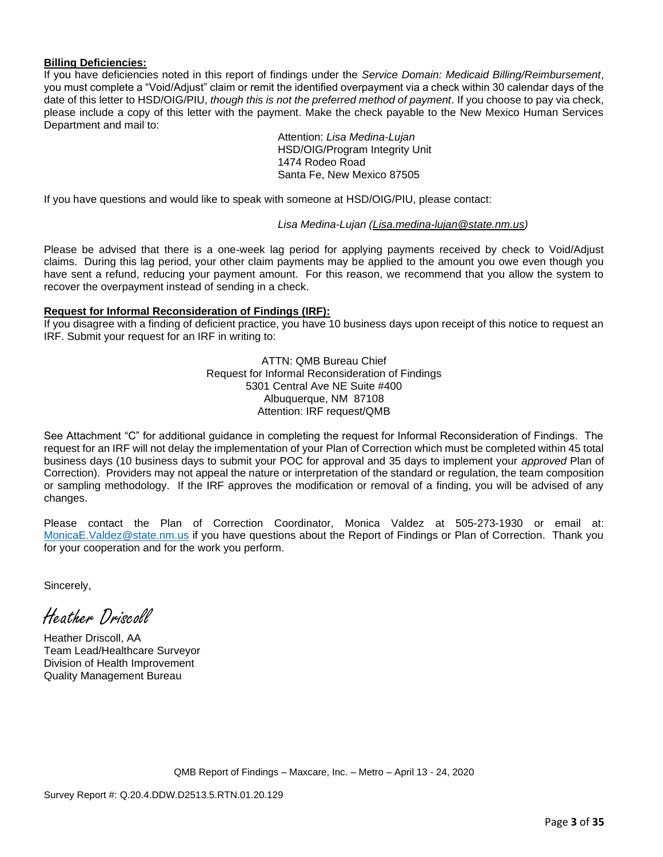### **Billing Deficiencies:**

If you have deficiencies noted in this report of findings under the *Service Domain: Medicaid Billing/Reimbursement*, you must complete a "Void/Adjust" claim or remit the identified overpayment via a check within 30 calendar days of the date of this letter to HSD/OIG/PIU, *though this is not the preferred method of payment*. If you choose to pay via check, please include a copy of this letter with the payment. Make the check payable to the New Mexico Human Services Department and mail to:

> Attention: *Lisa Medina-Lujan* HSD/OIG/Program Integrity Unit 1474 Rodeo Road Santa Fe, New Mexico 87505

If you have questions and would like to speak with someone at HSD/OIG/PIU, please contact:

*Lisa Medina-Lujan [\(Lisa.medina-lujan@state.nm.us\)](mailto:Lisa.medina-lujan@state.nm.us)*

Please be advised that there is a one-week lag period for applying payments received by check to Void/Adjust claims. During this lag period, your other claim payments may be applied to the amount you owe even though you have sent a refund, reducing your payment amount. For this reason, we recommend that you allow the system to recover the overpayment instead of sending in a check.

# **Request for Informal Reconsideration of Findings (IRF):**

If you disagree with a finding of deficient practice, you have 10 business days upon receipt of this notice to request an IRF. Submit your request for an IRF in writing to:

> ATTN: QMB Bureau Chief Request for Informal Reconsideration of Findings 5301 Central Ave NE Suite #400 Albuquerque, NM 87108 Attention: IRF request/QMB

See Attachment "C" for additional guidance in completing the request for Informal Reconsideration of Findings. The request for an IRF will not delay the implementation of your Plan of Correction which must be completed within 45 total business days (10 business days to submit your POC for approval and 35 days to implement your *approved* Plan of Correction). Providers may not appeal the nature or interpretation of the standard or regulation, the team composition or sampling methodology. If the IRF approves the modification or removal of a finding, you will be advised of any changes.

Please contact the Plan of Correction Coordinator, Monica Valdez at 505-273-1930 or email at: MonicaE. Valdez@state.nm.us if you have questions about the Report of Findings or Plan of Correction. Thank you for your cooperation and for the work you perform.

Sincerely,

Heather Driscoll

Heather Driscoll, AA Team Lead/Healthcare Surveyor Division of Health Improvement Quality Management Bureau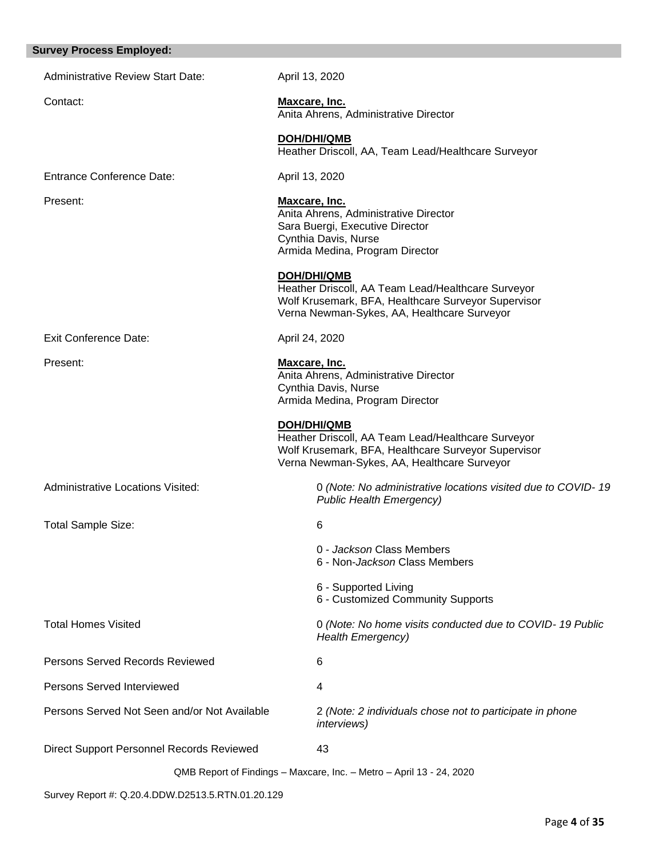# **Survey Process Employed:**

| <b>Administrative Review Start Date:</b>     | April 13, 2020                                                                                                                                                                 |
|----------------------------------------------|--------------------------------------------------------------------------------------------------------------------------------------------------------------------------------|
| Contact:                                     | <b>Maxcare, Inc.</b><br>Anita Ahrens, Administrative Director                                                                                                                  |
|                                              | <b>DOH/DHI/QMB</b><br>Heather Driscoll, AA, Team Lead/Healthcare Surveyor                                                                                                      |
| <b>Entrance Conference Date:</b>             | April 13, 2020                                                                                                                                                                 |
| Present:                                     | <b>Maxcare, Inc.</b><br>Anita Ahrens, Administrative Director<br>Sara Buergi, Executive Director<br>Cynthia Davis, Nurse<br>Armida Medina, Program Director                    |
|                                              | <b>DOH/DHI/QMB</b><br>Heather Driscoll, AA Team Lead/Healthcare Surveyor<br>Wolf Krusemark, BFA, Healthcare Surveyor Supervisor<br>Verna Newman-Sykes, AA, Healthcare Surveyor |
| <b>Exit Conference Date:</b>                 | April 24, 2020                                                                                                                                                                 |
| Present:                                     | Maxcare, Inc.<br>Anita Ahrens, Administrative Director<br>Cynthia Davis, Nurse<br>Armida Medina, Program Director                                                              |
|                                              | <b>DOH/DHI/QMB</b><br>Heather Driscoll, AA Team Lead/Healthcare Surveyor<br>Wolf Krusemark, BFA, Healthcare Surveyor Supervisor<br>Verna Newman-Sykes, AA, Healthcare Surveyor |
| <b>Administrative Locations Visited:</b>     | 0 (Note: No administrative locations visited due to COVID-19<br><b>Public Health Emergency)</b>                                                                                |
| <b>Total Sample Size:</b>                    | 6                                                                                                                                                                              |
|                                              | 0 - Jackson Class Members<br>6 - Non- <i>Jackson</i> Class Members                                                                                                             |
|                                              | 6 - Supported Living<br>6 - Customized Community Supports                                                                                                                      |
| <b>Total Homes Visited</b>                   | 0 (Note: No home visits conducted due to COVID- 19 Public<br><b>Health Emergency)</b>                                                                                          |
| Persons Served Records Reviewed              | 6                                                                                                                                                                              |
| Persons Served Interviewed                   | 4                                                                                                                                                                              |
| Persons Served Not Seen and/or Not Available | 2 (Note: 2 individuals chose not to participate in phone<br><i>interviews</i> )                                                                                                |
| Direct Support Personnel Records Reviewed    | 43                                                                                                                                                                             |
|                                              | QMB Report of Findings - Maxcare, Inc. - Metro - April 13 - 24, 2020                                                                                                           |

Survey Report #: Q.20.4.DDW.D2513.5.RTN.01.20.129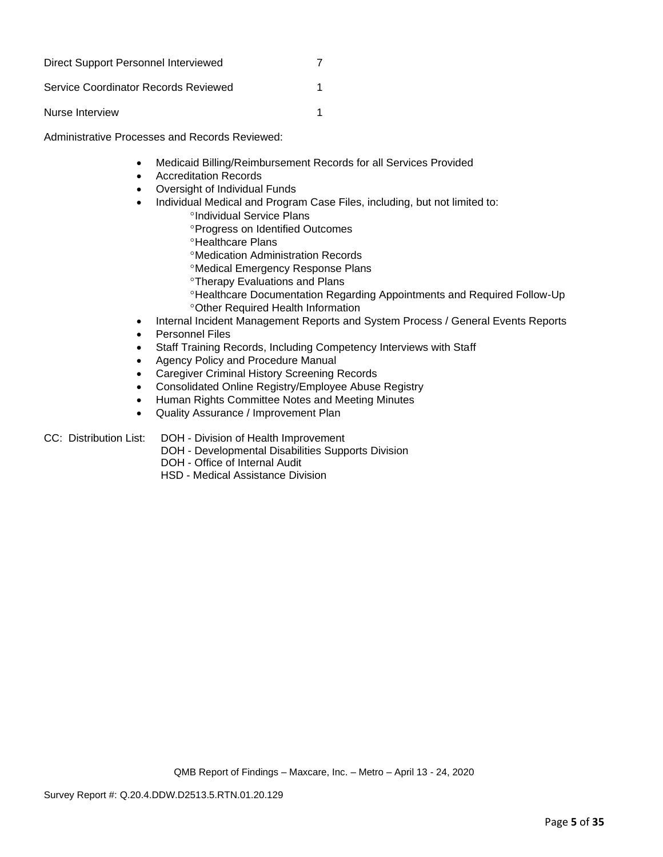| Direct Support Personnel Interviewed |  |
|--------------------------------------|--|
| Service Coordinator Records Reviewed |  |
| Nurse Interview                      |  |

Administrative Processes and Records Reviewed:

- Medicaid Billing/Reimbursement Records for all Services Provided
- Accreditation Records
- Oversight of Individual Funds
- Individual Medical and Program Case Files, including, but not limited to:
	- <sup>o</sup>Individual Service Plans
	- **Progress on Identified Outcomes**
	- <sup>o</sup>Healthcare Plans
	- Medication Administration Records
	- Medical Emergency Response Plans
	- Therapy Evaluations and Plans
	- Healthcare Documentation Regarding Appointments and Required Follow-Up Other Required Health Information
- Internal Incident Management Reports and System Process / General Events Reports
- Personnel Files
- Staff Training Records, Including Competency Interviews with Staff
- Agency Policy and Procedure Manual
- Caregiver Criminal History Screening Records
- Consolidated Online Registry/Employee Abuse Registry
- Human Rights Committee Notes and Meeting Minutes
- Quality Assurance / Improvement Plan

### CC: Distribution List: DOH - Division of Health Improvement

- DOH Developmental Disabilities Supports Division
- DOH Office of Internal Audit
- HSD Medical Assistance Division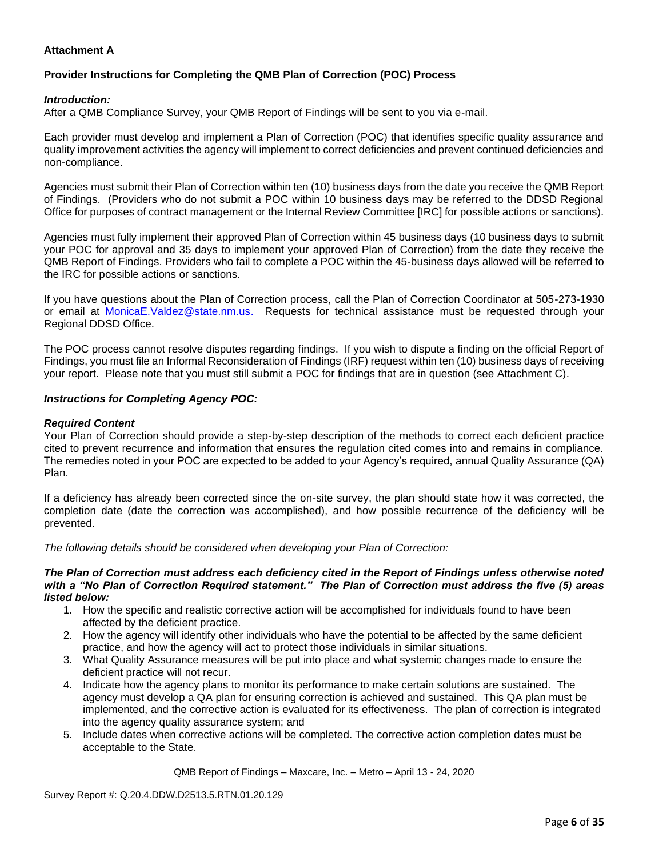# **Attachment A**

# **Provider Instructions for Completing the QMB Plan of Correction (POC) Process**

### *Introduction:*

After a QMB Compliance Survey, your QMB Report of Findings will be sent to you via e-mail.

Each provider must develop and implement a Plan of Correction (POC) that identifies specific quality assurance and quality improvement activities the agency will implement to correct deficiencies and prevent continued deficiencies and non-compliance.

Agencies must submit their Plan of Correction within ten (10) business days from the date you receive the QMB Report of Findings. (Providers who do not submit a POC within 10 business days may be referred to the DDSD Regional Office for purposes of contract management or the Internal Review Committee [IRC] for possible actions or sanctions).

Agencies must fully implement their approved Plan of Correction within 45 business days (10 business days to submit your POC for approval and 35 days to implement your approved Plan of Correction) from the date they receive the QMB Report of Findings. Providers who fail to complete a POC within the 45-business days allowed will be referred to the IRC for possible actions or sanctions.

If you have questions about the Plan of Correction process, call the Plan of Correction Coordinator at 505-273-1930 or email at [MonicaE.Valdez@state.nm.us.](mailto:MonicaE.Valdez@state.nm.us) Requests for technical assistance must be requested through your Regional DDSD Office.

The POC process cannot resolve disputes regarding findings. If you wish to dispute a finding on the official Report of Findings, you must file an Informal Reconsideration of Findings (IRF) request within ten (10) business days of receiving your report. Please note that you must still submit a POC for findings that are in question (see Attachment C).

### *Instructions for Completing Agency POC:*

### *Required Content*

Your Plan of Correction should provide a step-by-step description of the methods to correct each deficient practice cited to prevent recurrence and information that ensures the regulation cited comes into and remains in compliance. The remedies noted in your POC are expected to be added to your Agency's required, annual Quality Assurance (QA) Plan.

If a deficiency has already been corrected since the on-site survey, the plan should state how it was corrected, the completion date (date the correction was accomplished), and how possible recurrence of the deficiency will be prevented.

*The following details should be considered when developing your Plan of Correction:*

#### *The Plan of Correction must address each deficiency cited in the Report of Findings unless otherwise noted with a "No Plan of Correction Required statement." The Plan of Correction must address the five (5) areas listed below:*

- 1. How the specific and realistic corrective action will be accomplished for individuals found to have been affected by the deficient practice.
- 2. How the agency will identify other individuals who have the potential to be affected by the same deficient practice, and how the agency will act to protect those individuals in similar situations.
- 3. What Quality Assurance measures will be put into place and what systemic changes made to ensure the deficient practice will not recur.
- 4. Indicate how the agency plans to monitor its performance to make certain solutions are sustained. The agency must develop a QA plan for ensuring correction is achieved and sustained. This QA plan must be implemented, and the corrective action is evaluated for its effectiveness. The plan of correction is integrated into the agency quality assurance system; and
- 5. Include dates when corrective actions will be completed. The corrective action completion dates must be acceptable to the State.

QMB Report of Findings – Maxcare, Inc. – Metro – April 13 - 24, 2020

Survey Report #: Q.20.4.DDW.D2513.5.RTN.01.20.129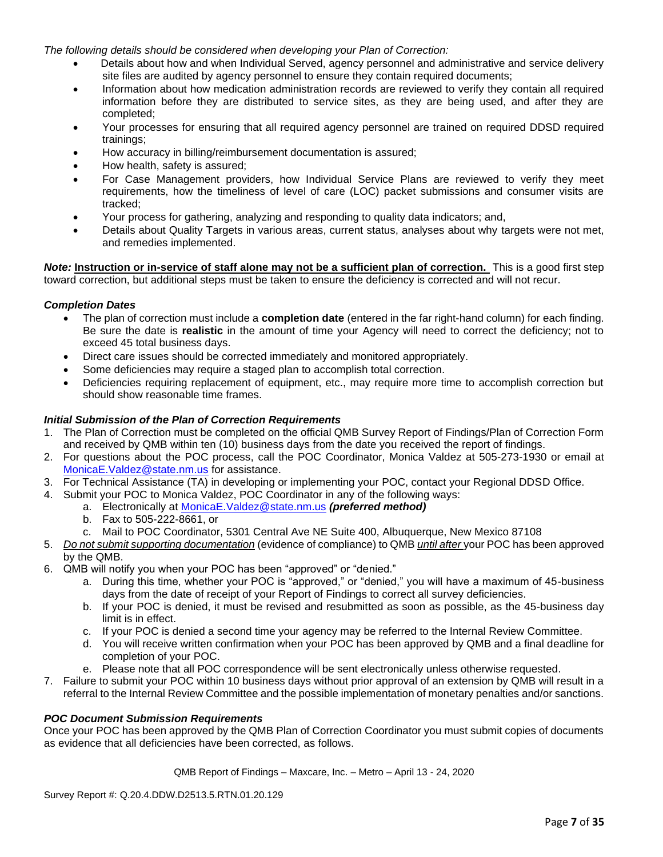*The following details should be considered when developing your Plan of Correction:*

- Details about how and when Individual Served, agency personnel and administrative and service delivery site files are audited by agency personnel to ensure they contain required documents;
- Information about how medication administration records are reviewed to verify they contain all required information before they are distributed to service sites, as they are being used, and after they are completed;
- Your processes for ensuring that all required agency personnel are trained on required DDSD required trainings;
- How accuracy in billing/reimbursement documentation is assured;
- How health, safety is assured;
- For Case Management providers, how Individual Service Plans are reviewed to verify they meet requirements, how the timeliness of level of care (LOC) packet submissions and consumer visits are tracked;
- Your process for gathering, analyzing and responding to quality data indicators; and,
- Details about Quality Targets in various areas, current status, analyses about why targets were not met, and remedies implemented.

*Note:* **Instruction or in-service of staff alone may not be a sufficient plan of correction.** This is a good first step toward correction, but additional steps must be taken to ensure the deficiency is corrected and will not recur.

### *Completion Dates*

- The plan of correction must include a **completion date** (entered in the far right-hand column) for each finding. Be sure the date is **realistic** in the amount of time your Agency will need to correct the deficiency; not to exceed 45 total business days.
- Direct care issues should be corrected immediately and monitored appropriately.
- Some deficiencies may require a staged plan to accomplish total correction.
- Deficiencies requiring replacement of equipment, etc., may require more time to accomplish correction but should show reasonable time frames.

# *Initial Submission of the Plan of Correction Requirements*

- 1. The Plan of Correction must be completed on the official QMB Survey Report of Findings/Plan of Correction Form and received by QMB within ten (10) business days from the date you received the report of findings.
- 2. For questions about the POC process, call the POC Coordinator, Monica Valdez at 505-273-1930 or email at [MonicaE.Valdez@state.nm.us](mailto:MonicaE.Valdez@state.nm.us) for assistance.
- 3. For Technical Assistance (TA) in developing or implementing your POC, contact your Regional DDSD Office.
- 4. Submit your POC to Monica Valdez, POC Coordinator in any of the following ways:
	- a. Electronically at [MonicaE.Valdez@state.nm.us](mailto:MonicaE.Valdez@state.nm.us) *(preferred method)*
	- b. Fax to 505-222-8661, or
	- c. Mail to POC Coordinator, 5301 Central Ave NE Suite 400, Albuquerque, New Mexico 87108
- 5. *Do not submit supporting documentation* (evidence of compliance) to QMB *until after* your POC has been approved by the QMB.
- 6. QMB will notify you when your POC has been "approved" or "denied."
	- a. During this time, whether your POC is "approved," or "denied," you will have a maximum of 45-business days from the date of receipt of your Report of Findings to correct all survey deficiencies.
	- b. If your POC is denied, it must be revised and resubmitted as soon as possible, as the 45-business day limit is in effect.
	- c. If your POC is denied a second time your agency may be referred to the Internal Review Committee.
	- d. You will receive written confirmation when your POC has been approved by QMB and a final deadline for completion of your POC.
	- e. Please note that all POC correspondence will be sent electronically unless otherwise requested.
- 7. Failure to submit your POC within 10 business days without prior approval of an extension by QMB will result in a referral to the Internal Review Committee and the possible implementation of monetary penalties and/or sanctions.

### *POC Document Submission Requirements*

Once your POC has been approved by the QMB Plan of Correction Coordinator you must submit copies of documents as evidence that all deficiencies have been corrected, as follows.

QMB Report of Findings – Maxcare, Inc. – Metro – April 13 - 24, 2020

Survey Report #: Q.20.4.DDW.D2513.5.RTN.01.20.129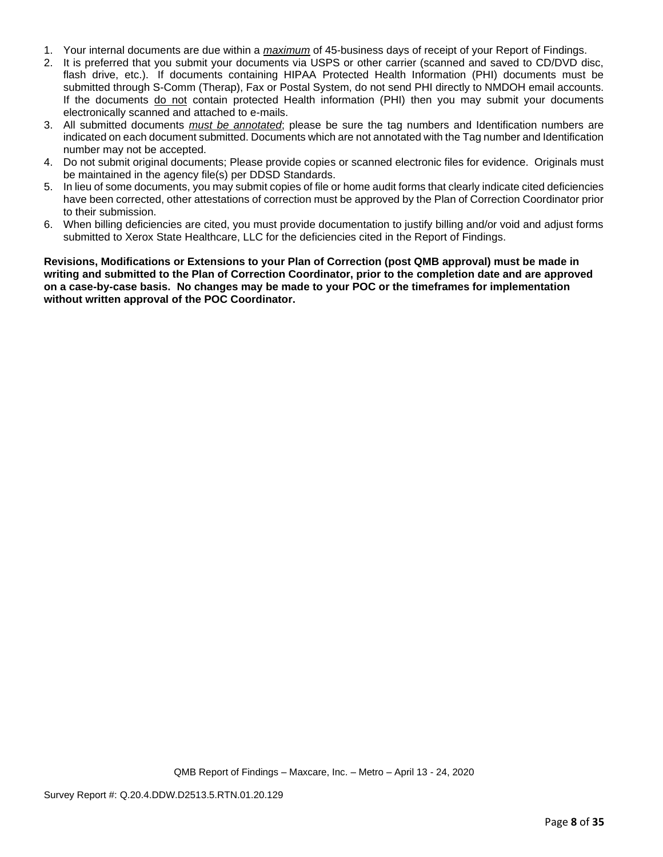- 1. Your internal documents are due within a *maximum* of 45-business days of receipt of your Report of Findings.
- 2. It is preferred that you submit your documents via USPS or other carrier (scanned and saved to CD/DVD disc, flash drive, etc.). If documents containing HIPAA Protected Health Information (PHI) documents must be submitted through S-Comm (Therap), Fax or Postal System, do not send PHI directly to NMDOH email accounts. If the documents do not contain protected Health information (PHI) then you may submit your documents electronically scanned and attached to e-mails.
- 3. All submitted documents *must be annotated*; please be sure the tag numbers and Identification numbers are indicated on each document submitted. Documents which are not annotated with the Tag number and Identification number may not be accepted.
- 4. Do not submit original documents; Please provide copies or scanned electronic files for evidence. Originals must be maintained in the agency file(s) per DDSD Standards.
- 5. In lieu of some documents, you may submit copies of file or home audit forms that clearly indicate cited deficiencies have been corrected, other attestations of correction must be approved by the Plan of Correction Coordinator prior to their submission.
- 6. When billing deficiencies are cited, you must provide documentation to justify billing and/or void and adjust forms submitted to Xerox State Healthcare, LLC for the deficiencies cited in the Report of Findings.

**Revisions, Modifications or Extensions to your Plan of Correction (post QMB approval) must be made in writing and submitted to the Plan of Correction Coordinator, prior to the completion date and are approved on a case-by-case basis. No changes may be made to your POC or the timeframes for implementation without written approval of the POC Coordinator.**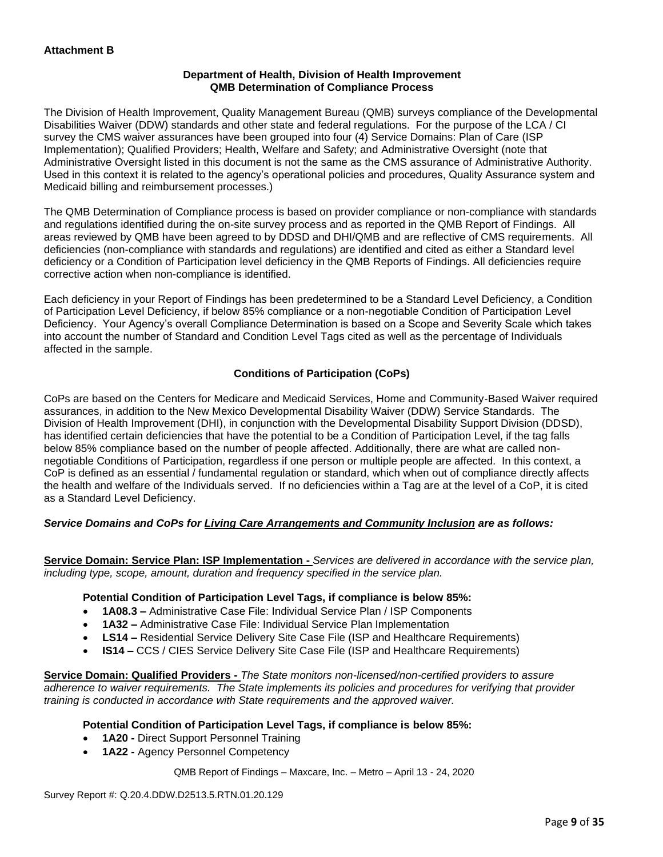# **Department of Health, Division of Health Improvement QMB Determination of Compliance Process**

The Division of Health Improvement, Quality Management Bureau (QMB) surveys compliance of the Developmental Disabilities Waiver (DDW) standards and other state and federal regulations. For the purpose of the LCA / CI survey the CMS waiver assurances have been grouped into four (4) Service Domains: Plan of Care (ISP Implementation); Qualified Providers; Health, Welfare and Safety; and Administrative Oversight (note that Administrative Oversight listed in this document is not the same as the CMS assurance of Administrative Authority. Used in this context it is related to the agency's operational policies and procedures, Quality Assurance system and Medicaid billing and reimbursement processes.)

The QMB Determination of Compliance process is based on provider compliance or non-compliance with standards and regulations identified during the on-site survey process and as reported in the QMB Report of Findings. All areas reviewed by QMB have been agreed to by DDSD and DHI/QMB and are reflective of CMS requirements. All deficiencies (non-compliance with standards and regulations) are identified and cited as either a Standard level deficiency or a Condition of Participation level deficiency in the QMB Reports of Findings. All deficiencies require corrective action when non-compliance is identified.

Each deficiency in your Report of Findings has been predetermined to be a Standard Level Deficiency, a Condition of Participation Level Deficiency, if below 85% compliance or a non-negotiable Condition of Participation Level Deficiency. Your Agency's overall Compliance Determination is based on a Scope and Severity Scale which takes into account the number of Standard and Condition Level Tags cited as well as the percentage of Individuals affected in the sample.

# **Conditions of Participation (CoPs)**

CoPs are based on the Centers for Medicare and Medicaid Services, Home and Community-Based Waiver required assurances, in addition to the New Mexico Developmental Disability Waiver (DDW) Service Standards. The Division of Health Improvement (DHI), in conjunction with the Developmental Disability Support Division (DDSD), has identified certain deficiencies that have the potential to be a Condition of Participation Level, if the tag falls below 85% compliance based on the number of people affected. Additionally, there are what are called nonnegotiable Conditions of Participation, regardless if one person or multiple people are affected. In this context, a CoP is defined as an essential / fundamental regulation or standard, which when out of compliance directly affects the health and welfare of the Individuals served. If no deficiencies within a Tag are at the level of a CoP, it is cited as a Standard Level Deficiency.

# *Service Domains and CoPs for Living Care Arrangements and Community Inclusion are as follows:*

**Service Domain: Service Plan: ISP Implementation -** *Services are delivered in accordance with the service plan, including type, scope, amount, duration and frequency specified in the service plan.*

### **Potential Condition of Participation Level Tags, if compliance is below 85%:**

- **1A08.3 –** Administrative Case File: Individual Service Plan / ISP Components
- **1A32 –** Administrative Case File: Individual Service Plan Implementation
- **LS14 –** Residential Service Delivery Site Case File (ISP and Healthcare Requirements)
- **IS14 –** CCS / CIES Service Delivery Site Case File (ISP and Healthcare Requirements)

**Service Domain: Qualified Providers -** *The State monitors non-licensed/non-certified providers to assure adherence to waiver requirements. The State implements its policies and procedures for verifying that provider training is conducted in accordance with State requirements and the approved waiver.*

### **Potential Condition of Participation Level Tags, if compliance is below 85%:**

- **1A20 -** Direct Support Personnel Training
- **1A22 -** Agency Personnel Competency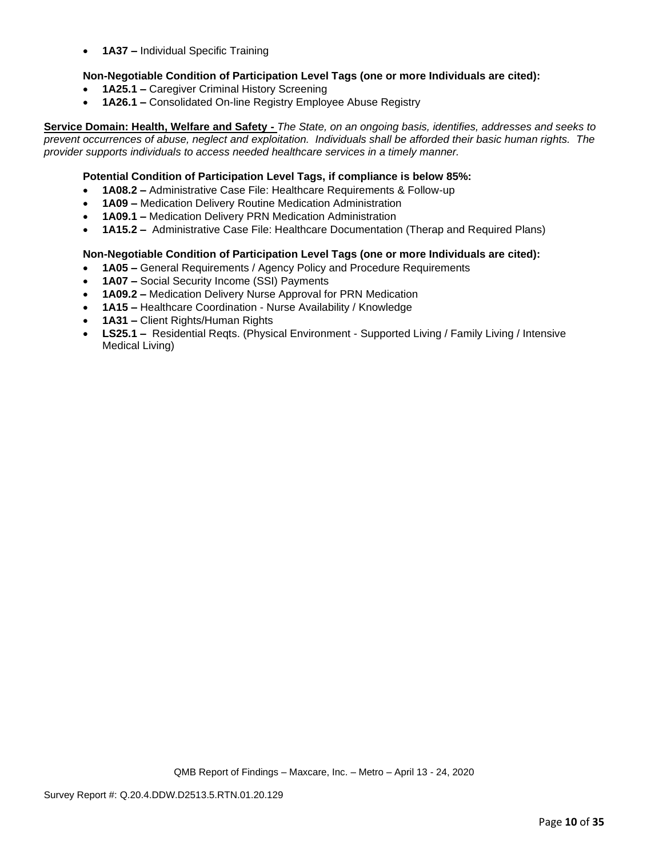• **1A37 –** Individual Specific Training

# **Non-Negotiable Condition of Participation Level Tags (one or more Individuals are cited):**

- **1A25.1 –** Caregiver Criminal History Screening
- **1A26.1 –** Consolidated On-line Registry Employee Abuse Registry

**Service Domain: Health, Welfare and Safety -** *The State, on an ongoing basis, identifies, addresses and seeks to prevent occurrences of abuse, neglect and exploitation. Individuals shall be afforded their basic human rights. The provider supports individuals to access needed healthcare services in a timely manner.*

### **Potential Condition of Participation Level Tags, if compliance is below 85%:**

- **1A08.2 –** Administrative Case File: Healthcare Requirements & Follow-up
- **1A09 –** Medication Delivery Routine Medication Administration
- **1A09.1 –** Medication Delivery PRN Medication Administration
- **1A15.2 –** Administrative Case File: Healthcare Documentation (Therap and Required Plans)

### **Non-Negotiable Condition of Participation Level Tags (one or more Individuals are cited):**

- **1A05 –** General Requirements / Agency Policy and Procedure Requirements
- **1A07 –** Social Security Income (SSI) Payments
- **1A09.2 –** Medication Delivery Nurse Approval for PRN Medication
- **1A15 –** Healthcare Coordination Nurse Availability / Knowledge
- **1A31 –** Client Rights/Human Rights
- **LS25.1 –** Residential Reqts. (Physical Environment Supported Living / Family Living / Intensive Medical Living)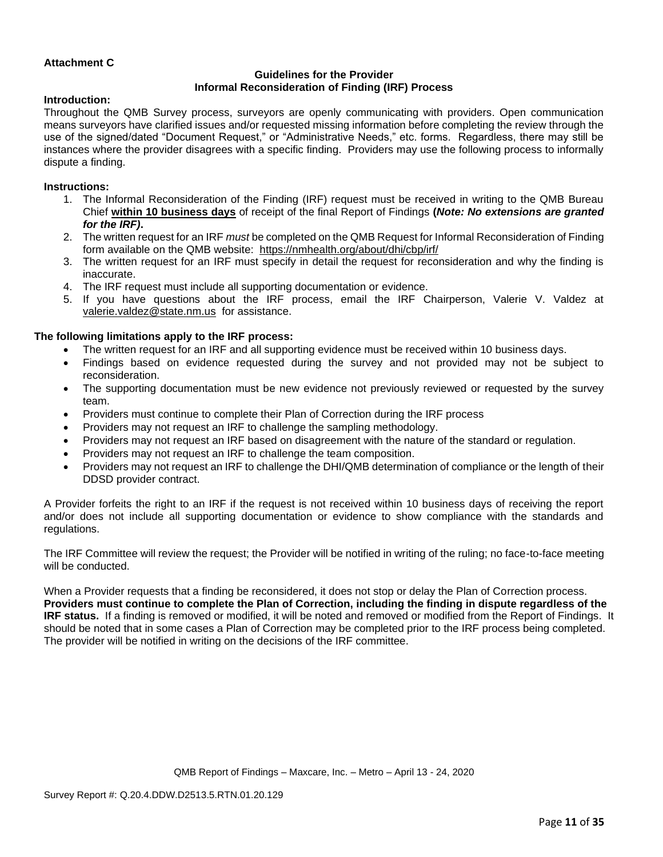# **Attachment C**

# **Guidelines for the Provider Informal Reconsideration of Finding (IRF) Process**

### **Introduction:**

Throughout the QMB Survey process, surveyors are openly communicating with providers. Open communication means surveyors have clarified issues and/or requested missing information before completing the review through the use of the signed/dated "Document Request," or "Administrative Needs," etc. forms. Regardless, there may still be instances where the provider disagrees with a specific finding. Providers may use the following process to informally dispute a finding.

### **Instructions:**

- 1. The Informal Reconsideration of the Finding (IRF) request must be received in writing to the QMB Bureau Chief **within 10 business days** of receipt of the final Report of Findings **(***Note: No extensions are granted for the IRF)***.**
- 2. The written request for an IRF *must* be completed on the QMB Request for Informal Reconsideration of Finding form available on the QMB website: <https://nmhealth.org/about/dhi/cbp/irf/>
- 3. The written request for an IRF must specify in detail the request for reconsideration and why the finding is inaccurate.
- 4. The IRF request must include all supporting documentation or evidence.
- 5. If you have questions about the IRF process, email the IRF Chairperson, Valerie V. Valdez at [valerie.valdez@state.nm.us](mailto:valerie.valdez@state.nm.us) for assistance.

# **The following limitations apply to the IRF process:**

- The written request for an IRF and all supporting evidence must be received within 10 business days.
- Findings based on evidence requested during the survey and not provided may not be subject to reconsideration.
- The supporting documentation must be new evidence not previously reviewed or requested by the survey team.
- Providers must continue to complete their Plan of Correction during the IRF process
- Providers may not request an IRF to challenge the sampling methodology.
- Providers may not request an IRF based on disagreement with the nature of the standard or regulation.
- Providers may not request an IRF to challenge the team composition.
- Providers may not request an IRF to challenge the DHI/QMB determination of compliance or the length of their DDSD provider contract.

A Provider forfeits the right to an IRF if the request is not received within 10 business days of receiving the report and/or does not include all supporting documentation or evidence to show compliance with the standards and regulations.

The IRF Committee will review the request; the Provider will be notified in writing of the ruling; no face-to-face meeting will be conducted.

When a Provider requests that a finding be reconsidered, it does not stop or delay the Plan of Correction process. **Providers must continue to complete the Plan of Correction, including the finding in dispute regardless of the IRF status.** If a finding is removed or modified, it will be noted and removed or modified from the Report of Findings. It should be noted that in some cases a Plan of Correction may be completed prior to the IRF process being completed. The provider will be notified in writing on the decisions of the IRF committee.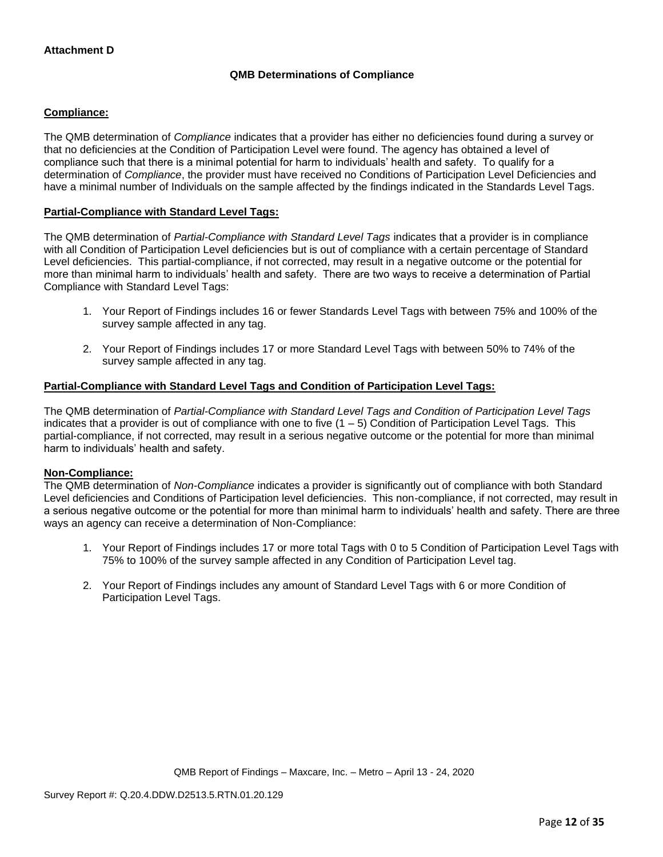# **QMB Determinations of Compliance**

# **Compliance:**

The QMB determination of *Compliance* indicates that a provider has either no deficiencies found during a survey or that no deficiencies at the Condition of Participation Level were found. The agency has obtained a level of compliance such that there is a minimal potential for harm to individuals' health and safety. To qualify for a determination of *Compliance*, the provider must have received no Conditions of Participation Level Deficiencies and have a minimal number of Individuals on the sample affected by the findings indicated in the Standards Level Tags.

# **Partial-Compliance with Standard Level Tags:**

The QMB determination of *Partial-Compliance with Standard Level Tags* indicates that a provider is in compliance with all Condition of Participation Level deficiencies but is out of compliance with a certain percentage of Standard Level deficiencies. This partial-compliance, if not corrected, may result in a negative outcome or the potential for more than minimal harm to individuals' health and safety. There are two ways to receive a determination of Partial Compliance with Standard Level Tags:

- 1. Your Report of Findings includes 16 or fewer Standards Level Tags with between 75% and 100% of the survey sample affected in any tag.
- 2. Your Report of Findings includes 17 or more Standard Level Tags with between 50% to 74% of the survey sample affected in any tag.

# **Partial-Compliance with Standard Level Tags and Condition of Participation Level Tags:**

The QMB determination of *Partial-Compliance with Standard Level Tags and Condition of Participation Level Tags*  indicates that a provider is out of compliance with one to five  $(1 - 5)$  Condition of Participation Level Tags. This partial-compliance, if not corrected, may result in a serious negative outcome or the potential for more than minimal harm to individuals' health and safety.

### **Non-Compliance:**

The QMB determination of *Non-Compliance* indicates a provider is significantly out of compliance with both Standard Level deficiencies and Conditions of Participation level deficiencies. This non-compliance, if not corrected, may result in a serious negative outcome or the potential for more than minimal harm to individuals' health and safety. There are three ways an agency can receive a determination of Non-Compliance:

- 1. Your Report of Findings includes 17 or more total Tags with 0 to 5 Condition of Participation Level Tags with 75% to 100% of the survey sample affected in any Condition of Participation Level tag.
- 2. Your Report of Findings includes any amount of Standard Level Tags with 6 or more Condition of Participation Level Tags.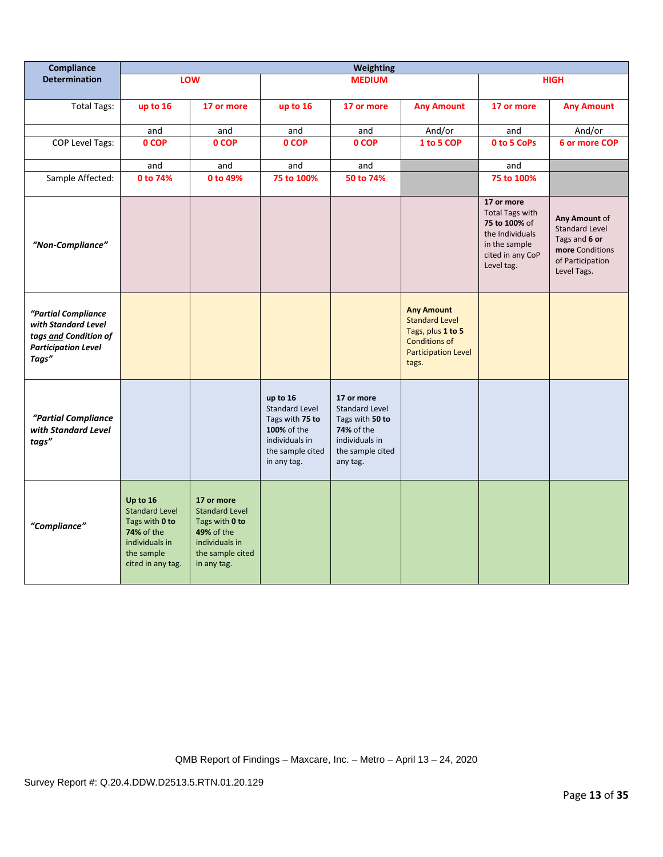| Compliance                                                                                                 | <b>Weighting</b>                                                                                                       |                                                                                                                          |                                                                                                                          |                                                                                                                        |                                                                                                                                |                                                                                                                             |                                                                                                               |
|------------------------------------------------------------------------------------------------------------|------------------------------------------------------------------------------------------------------------------------|--------------------------------------------------------------------------------------------------------------------------|--------------------------------------------------------------------------------------------------------------------------|------------------------------------------------------------------------------------------------------------------------|--------------------------------------------------------------------------------------------------------------------------------|-----------------------------------------------------------------------------------------------------------------------------|---------------------------------------------------------------------------------------------------------------|
| <b>Determination</b>                                                                                       |                                                                                                                        | LOW                                                                                                                      |                                                                                                                          | <b>MEDIUM</b>                                                                                                          |                                                                                                                                |                                                                                                                             | <b>HIGH</b>                                                                                                   |
| <b>Total Tags:</b>                                                                                         | up to 16                                                                                                               | 17 or more                                                                                                               | up to 16                                                                                                                 | 17 or more                                                                                                             | <b>Any Amount</b>                                                                                                              | 17 or more                                                                                                                  | <b>Any Amount</b>                                                                                             |
|                                                                                                            | and                                                                                                                    | and                                                                                                                      | and                                                                                                                      | and                                                                                                                    | And/or                                                                                                                         | and                                                                                                                         | And/or                                                                                                        |
| <b>COP Level Tags:</b>                                                                                     | 0 COP                                                                                                                  | 0 COP                                                                                                                    | 0 COP                                                                                                                    | 0 COP                                                                                                                  | 1 to 5 COP                                                                                                                     | 0 to 5 CoPs                                                                                                                 | 6 or more COP                                                                                                 |
|                                                                                                            | and                                                                                                                    | and                                                                                                                      | and                                                                                                                      | and                                                                                                                    |                                                                                                                                | and                                                                                                                         |                                                                                                               |
| Sample Affected:                                                                                           | 0 to 74%                                                                                                               | 0 to 49%                                                                                                                 | 75 to 100%                                                                                                               | 50 to 74%                                                                                                              |                                                                                                                                | 75 to 100%                                                                                                                  |                                                                                                               |
| "Non-Compliance"                                                                                           |                                                                                                                        |                                                                                                                          |                                                                                                                          |                                                                                                                        |                                                                                                                                | 17 or more<br><b>Total Tags with</b><br>75 to 100% of<br>the Individuals<br>in the sample<br>cited in any CoP<br>Level tag. | Any Amount of<br><b>Standard Level</b><br>Tags and 6 or<br>more Conditions<br>of Participation<br>Level Tags. |
| "Partial Compliance<br>with Standard Level<br>tags and Condition of<br><b>Participation Level</b><br>Tags" |                                                                                                                        |                                                                                                                          |                                                                                                                          |                                                                                                                        | <b>Any Amount</b><br><b>Standard Level</b><br>Tags, plus 1 to 5<br><b>Conditions of</b><br><b>Participation Level</b><br>tags. |                                                                                                                             |                                                                                                               |
| "Partial Compliance<br>with Standard Level<br>tags"                                                        |                                                                                                                        |                                                                                                                          | up to 16<br><b>Standard Level</b><br>Tags with 75 to<br>100% of the<br>individuals in<br>the sample cited<br>in any tag. | 17 or more<br>Standard Level<br>Tags with 50 to<br><b>74%</b> of the<br>individuals in<br>the sample cited<br>any tag. |                                                                                                                                |                                                                                                                             |                                                                                                               |
| "Compliance"                                                                                               | Up to 16<br><b>Standard Level</b><br>Tags with 0 to<br>74% of the<br>individuals in<br>the sample<br>cited in any tag. | 17 or more<br><b>Standard Level</b><br>Tags with 0 to<br>49% of the<br>individuals in<br>the sample cited<br>in any tag. |                                                                                                                          |                                                                                                                        |                                                                                                                                |                                                                                                                             |                                                                                                               |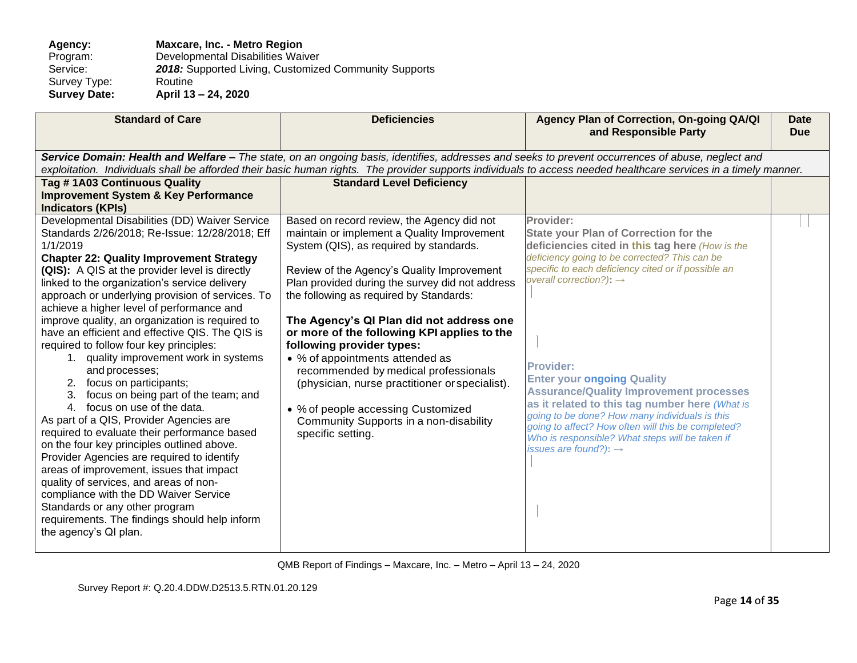Agency: **Maxcare, Inc. - Metro Region**<br>Program: Developmental Disabilities Wai Program: Developmental Disabilities Waiver<br>Service: 2018: Supported Living, Customize 2018: Supported Living, Customized Community Supports Routine Survey Type:<br>Survey Date: **Survey Date: April 13 – 24, 2020**

| <b>Standard of Care</b>                                                                                                                                                                                                                                                                                                                                                                                                                                                                                                                                                                                                                                                                                                                                                                                                                                                                                                                                                                                                                                                                                                 | <b>Deficiencies</b>                                                                                                                                                                                                                                                                                                                                                                                                                                                                                                                                                                                                                        | Agency Plan of Correction, On-going QA/QI<br>and Responsible Party                                                                                                                                                                                                                                                                                                                                                                                                                                                                                                                                                       | <b>Date</b><br><b>Due</b> |
|-------------------------------------------------------------------------------------------------------------------------------------------------------------------------------------------------------------------------------------------------------------------------------------------------------------------------------------------------------------------------------------------------------------------------------------------------------------------------------------------------------------------------------------------------------------------------------------------------------------------------------------------------------------------------------------------------------------------------------------------------------------------------------------------------------------------------------------------------------------------------------------------------------------------------------------------------------------------------------------------------------------------------------------------------------------------------------------------------------------------------|--------------------------------------------------------------------------------------------------------------------------------------------------------------------------------------------------------------------------------------------------------------------------------------------------------------------------------------------------------------------------------------------------------------------------------------------------------------------------------------------------------------------------------------------------------------------------------------------------------------------------------------------|--------------------------------------------------------------------------------------------------------------------------------------------------------------------------------------------------------------------------------------------------------------------------------------------------------------------------------------------------------------------------------------------------------------------------------------------------------------------------------------------------------------------------------------------------------------------------------------------------------------------------|---------------------------|
|                                                                                                                                                                                                                                                                                                                                                                                                                                                                                                                                                                                                                                                                                                                                                                                                                                                                                                                                                                                                                                                                                                                         | Service Domain: Health and Welfare - The state, on an ongoing basis, identifies, addresses and seeks to prevent occurrences of abuse, neglect and                                                                                                                                                                                                                                                                                                                                                                                                                                                                                          | exploitation. Individuals shall be afforded their basic human rights. The provider supports individuals to access needed healthcare services in a timely manner.                                                                                                                                                                                                                                                                                                                                                                                                                                                         |                           |
| Tag #1A03 Continuous Quality<br><b>Improvement System &amp; Key Performance</b><br><b>Indicators (KPIs)</b>                                                                                                                                                                                                                                                                                                                                                                                                                                                                                                                                                                                                                                                                                                                                                                                                                                                                                                                                                                                                             | <b>Standard Level Deficiency</b>                                                                                                                                                                                                                                                                                                                                                                                                                                                                                                                                                                                                           |                                                                                                                                                                                                                                                                                                                                                                                                                                                                                                                                                                                                                          |                           |
| Developmental Disabilities (DD) Waiver Service<br>Standards 2/26/2018; Re-Issue: 12/28/2018; Eff<br>1/1/2019<br><b>Chapter 22: Quality Improvement Strategy</b><br>(QIS): A QIS at the provider level is directly<br>linked to the organization's service delivery<br>approach or underlying provision of services. To<br>achieve a higher level of performance and<br>improve quality, an organization is required to<br>have an efficient and effective QIS. The QIS is<br>required to follow four key principles:<br>1. quality improvement work in systems<br>and processes;<br>2. focus on participants;<br>focus on being part of the team; and<br>4. focus on use of the data.<br>As part of a QIS, Provider Agencies are<br>required to evaluate their performance based<br>on the four key principles outlined above.<br>Provider Agencies are required to identify<br>areas of improvement, issues that impact<br>quality of services, and areas of non-<br>compliance with the DD Waiver Service<br>Standards or any other program<br>requirements. The findings should help inform<br>the agency's QI plan. | Based on record review, the Agency did not<br>maintain or implement a Quality Improvement<br>System (QIS), as required by standards.<br>Review of the Agency's Quality Improvement<br>Plan provided during the survey did not address<br>the following as required by Standards:<br>The Agency's QI Plan did not address one<br>or more of the following KPI applies to the<br>following provider types:<br>• % of appointments attended as<br>recommended by medical professionals<br>(physician, nurse practitioner or specialist).<br>• % of people accessing Customized<br>Community Supports in a non-disability<br>specific setting. | Provider:<br><b>State your Plan of Correction for the</b><br>deficiencies cited in this tag here (How is the<br>deficiency going to be corrected? This can be<br>specific to each deficiency cited or if possible an<br>overall correction?): $\rightarrow$<br><b>Provider:</b><br><b>Enter your ongoing Quality</b><br><b>Assurance/Quality Improvement processes</b><br>as it related to this tag number here (What is<br>going to be done? How many individuals is this<br>going to affect? How often will this be completed?<br>Who is responsible? What steps will be taken if<br>issues are found?): $\rightarrow$ |                           |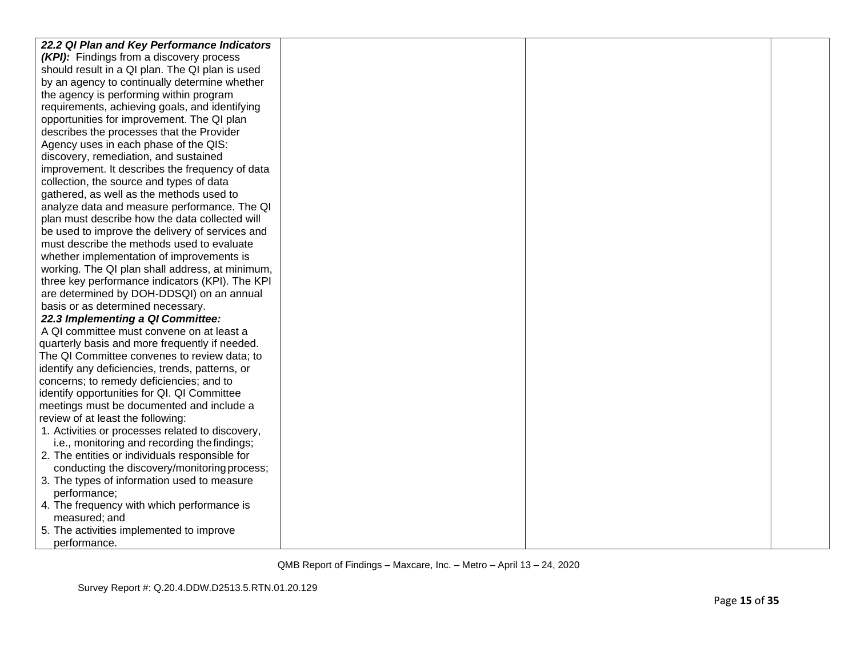| 22.2 QI Plan and Key Performance Indicators      |  |  |
|--------------------------------------------------|--|--|
| (KPI): Findings from a discovery process         |  |  |
| should result in a QI plan. The QI plan is used  |  |  |
| by an agency to continually determine whether    |  |  |
| the agency is performing within program          |  |  |
| requirements, achieving goals, and identifying   |  |  |
| opportunities for improvement. The QI plan       |  |  |
| describes the processes that the Provider        |  |  |
| Agency uses in each phase of the QIS:            |  |  |
| discovery, remediation, and sustained            |  |  |
| improvement. It describes the frequency of data  |  |  |
| collection, the source and types of data         |  |  |
| gathered, as well as the methods used to         |  |  |
| analyze data and measure performance. The QI     |  |  |
| plan must describe how the data collected will   |  |  |
| be used to improve the delivery of services and  |  |  |
| must describe the methods used to evaluate       |  |  |
| whether implementation of improvements is        |  |  |
| working. The QI plan shall address, at minimum,  |  |  |
| three key performance indicators (KPI). The KPI  |  |  |
| are determined by DOH-DDSQI) on an annual        |  |  |
| basis or as determined necessary.                |  |  |
| 22.3 Implementing a QI Committee:                |  |  |
| A QI committee must convene on at least a        |  |  |
| quarterly basis and more frequently if needed.   |  |  |
| The QI Committee convenes to review data; to     |  |  |
| identify any deficiencies, trends, patterns, or  |  |  |
| concerns; to remedy deficiencies; and to         |  |  |
| identify opportunities for QI. QI Committee      |  |  |
| meetings must be documented and include a        |  |  |
| review of at least the following:                |  |  |
| 1. Activities or processes related to discovery, |  |  |
| i.e., monitoring and recording the findings;     |  |  |
| 2. The entities or individuals responsible for   |  |  |
| conducting the discovery/monitoring process;     |  |  |
| 3. The types of information used to measure      |  |  |
| performance;                                     |  |  |
| 4. The frequency with which performance is       |  |  |
| measured; and                                    |  |  |
| 5. The activities implemented to improve         |  |  |
| performance.                                     |  |  |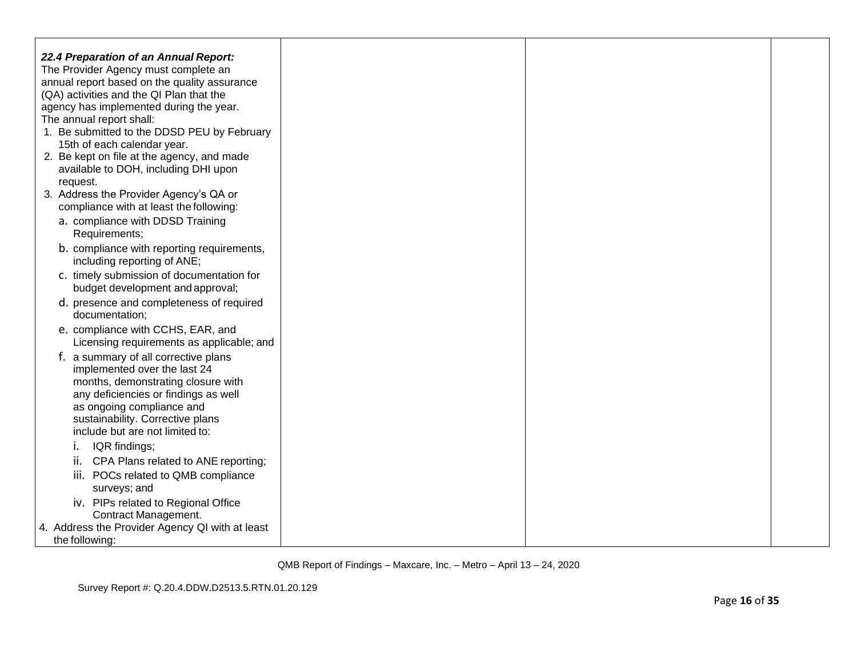| 22.4 Preparation of an Annual Report:<br>The Provider Agency must complete an<br>annual report based on the quality assurance<br>(QA) activities and the QI Plan that the<br>agency has implemented during the year.<br>The annual report shall:<br>1. Be submitted to the DDSD PEU by February<br>15th of each calendar year.<br>2. Be kept on file at the agency, and made<br>available to DOH, including DHI upon |  |  |
|----------------------------------------------------------------------------------------------------------------------------------------------------------------------------------------------------------------------------------------------------------------------------------------------------------------------------------------------------------------------------------------------------------------------|--|--|
| request.<br>3. Address the Provider Agency's QA or                                                                                                                                                                                                                                                                                                                                                                   |  |  |
| compliance with at least the following:<br>a. compliance with DDSD Training<br>Requirements;                                                                                                                                                                                                                                                                                                                         |  |  |
| b. compliance with reporting requirements,<br>including reporting of ANE;                                                                                                                                                                                                                                                                                                                                            |  |  |
| c. timely submission of documentation for<br>budget development and approval;                                                                                                                                                                                                                                                                                                                                        |  |  |
| d. presence and completeness of required<br>documentation;                                                                                                                                                                                                                                                                                                                                                           |  |  |
| e. compliance with CCHS, EAR, and<br>Licensing requirements as applicable; and                                                                                                                                                                                                                                                                                                                                       |  |  |
| f. a summary of all corrective plans<br>implemented over the last 24<br>months, demonstrating closure with<br>any deficiencies or findings as well<br>as ongoing compliance and<br>sustainability. Corrective plans<br>include but are not limited to:                                                                                                                                                               |  |  |
| IQR findings;<br>Ι.                                                                                                                                                                                                                                                                                                                                                                                                  |  |  |
| CPA Plans related to ANE reporting;<br>ii.                                                                                                                                                                                                                                                                                                                                                                           |  |  |
| iii. POCs related to QMB compliance<br>surveys; and                                                                                                                                                                                                                                                                                                                                                                  |  |  |
| iv. PIPs related to Regional Office                                                                                                                                                                                                                                                                                                                                                                                  |  |  |
| Contract Management.<br>4. Address the Provider Agency QI with at least<br>the following:                                                                                                                                                                                                                                                                                                                            |  |  |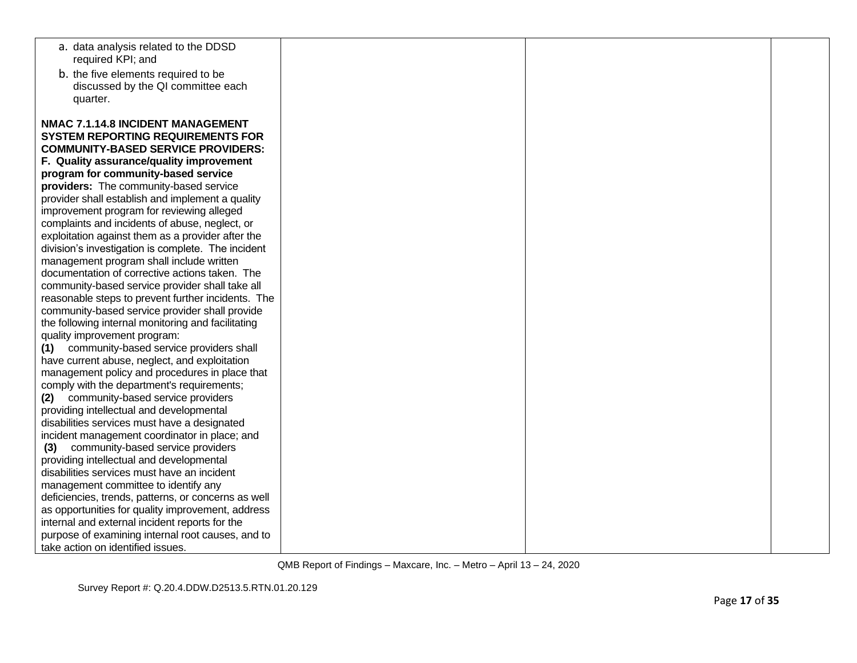| a. data analysis related to the DDSD                                                   |  |  |
|----------------------------------------------------------------------------------------|--|--|
| required KPI; and                                                                      |  |  |
| b. the five elements required to be                                                    |  |  |
| discussed by the QI committee each                                                     |  |  |
| quarter.                                                                               |  |  |
| NMAC 7.1.14.8 INCIDENT MANAGEMENT                                                      |  |  |
| <b>SYSTEM REPORTING REQUIREMENTS FOR</b>                                               |  |  |
| <b>COMMUNITY-BASED SERVICE PROVIDERS:</b>                                              |  |  |
| F. Quality assurance/quality improvement                                               |  |  |
| program for community-based service                                                    |  |  |
| providers: The community-based service                                                 |  |  |
| provider shall establish and implement a quality                                       |  |  |
| improvement program for reviewing alleged                                              |  |  |
| complaints and incidents of abuse, neglect, or                                         |  |  |
| exploitation against them as a provider after the                                      |  |  |
| division's investigation is complete. The incident                                     |  |  |
| management program shall include written                                               |  |  |
| documentation of corrective actions taken. The                                         |  |  |
| community-based service provider shall take all                                        |  |  |
| reasonable steps to prevent further incidents. The                                     |  |  |
| community-based service provider shall provide                                         |  |  |
| the following internal monitoring and facilitating                                     |  |  |
| quality improvement program:                                                           |  |  |
| community-based service providers shall<br>(1)                                         |  |  |
| have current abuse, neglect, and exploitation                                          |  |  |
| management policy and procedures in place that                                         |  |  |
| comply with the department's requirements;                                             |  |  |
| community-based service providers<br>(2)                                               |  |  |
| providing intellectual and developmental                                               |  |  |
| disabilities services must have a designated                                           |  |  |
| incident management coordinator in place; and                                          |  |  |
| (3) community-based service providers                                                  |  |  |
| providing intellectual and developmental                                               |  |  |
| disabilities services must have an incident                                            |  |  |
| management committee to identify any                                                   |  |  |
| deficiencies, trends, patterns, or concerns as well                                    |  |  |
| as opportunities for quality improvement, address                                      |  |  |
| internal and external incident reports for the                                         |  |  |
| purpose of examining internal root causes, and to<br>take action on identified issues. |  |  |
|                                                                                        |  |  |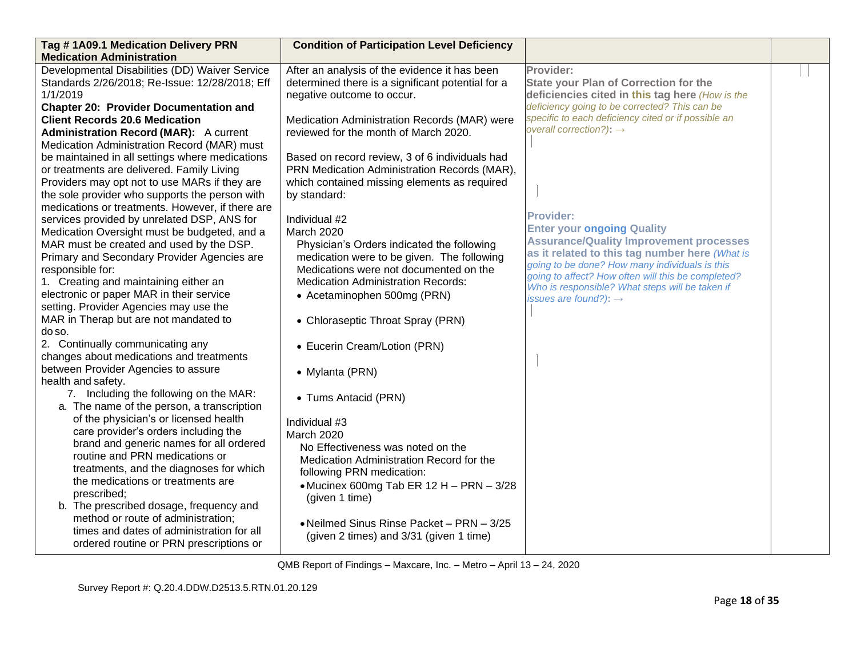| Tag #1A09.1 Medication Delivery PRN<br><b>Medication Administration</b> | <b>Condition of Participation Level Deficiency</b> |                                                                                                      |  |
|-------------------------------------------------------------------------|----------------------------------------------------|------------------------------------------------------------------------------------------------------|--|
| Developmental Disabilities (DD) Waiver Service                          | After an analysis of the evidence it has been      | Provider:                                                                                            |  |
| Standards 2/26/2018; Re-Issue: 12/28/2018; Eff                          | determined there is a significant potential for a  | <b>State your Plan of Correction for the</b>                                                         |  |
| 1/1/2019                                                                | negative outcome to occur.                         | deficiencies cited in this tag here (How is the                                                      |  |
| <b>Chapter 20: Provider Documentation and</b>                           |                                                    | deficiency going to be corrected? This can be                                                        |  |
| <b>Client Records 20.6 Medication</b>                                   | Medication Administration Records (MAR) were       | specific to each deficiency cited or if possible an                                                  |  |
| <b>Administration Record (MAR):</b> A current                           | reviewed for the month of March 2020.              | overall correction?): $\rightarrow$                                                                  |  |
| Medication Administration Record (MAR) must                             |                                                    |                                                                                                      |  |
| be maintained in all settings where medications                         | Based on record review, 3 of 6 individuals had     |                                                                                                      |  |
| or treatments are delivered. Family Living                              | PRN Medication Administration Records (MAR),       |                                                                                                      |  |
| Providers may opt not to use MARs if they are                           | which contained missing elements as required       |                                                                                                      |  |
| the sole provider who supports the person with                          | by standard:                                       |                                                                                                      |  |
| medications or treatments. However, if there are                        |                                                    |                                                                                                      |  |
| services provided by unrelated DSP, ANS for                             | Individual #2                                      | <b>Provider:</b>                                                                                     |  |
| Medication Oversight must be budgeted, and a                            | March 2020                                         | <b>Enter your ongoing Quality</b>                                                                    |  |
| MAR must be created and used by the DSP.                                | Physician's Orders indicated the following         | <b>Assurance/Quality Improvement processes</b>                                                       |  |
| Primary and Secondary Provider Agencies are                             | medication were to be given. The following         | as it related to this tag number here (What is                                                       |  |
| responsible for:                                                        | Medications were not documented on the             | going to be done? How many individuals is this<br>going to affect? How often will this be completed? |  |
| 1. Creating and maintaining either an                                   | <b>Medication Administration Records:</b>          | Who is responsible? What steps will be taken if                                                      |  |
| electronic or paper MAR in their service                                | • Acetaminophen 500mg (PRN)                        | issues are found?): $\rightarrow$                                                                    |  |
| setting. Provider Agencies may use the                                  |                                                    |                                                                                                      |  |
| MAR in Therap but are not mandated to                                   | • Chloraseptic Throat Spray (PRN)                  |                                                                                                      |  |
| do so.                                                                  |                                                    |                                                                                                      |  |
| 2. Continually communicating any                                        | • Eucerin Cream/Lotion (PRN)                       |                                                                                                      |  |
| changes about medications and treatments                                |                                                    |                                                                                                      |  |
| between Provider Agencies to assure                                     | • Mylanta (PRN)                                    |                                                                                                      |  |
| health and safety.                                                      |                                                    |                                                                                                      |  |
| 7. Including the following on the MAR:                                  | • Tums Antacid (PRN)                               |                                                                                                      |  |
| a. The name of the person, a transcription                              |                                                    |                                                                                                      |  |
| of the physician's or licensed health                                   | Individual #3                                      |                                                                                                      |  |
| care provider's orders including the                                    | March 2020                                         |                                                                                                      |  |
| brand and generic names for all ordered                                 | No Effectiveness was noted on the                  |                                                                                                      |  |
| routine and PRN medications or                                          | Medication Administration Record for the           |                                                                                                      |  |
| treatments, and the diagnoses for which                                 | following PRN medication:                          |                                                                                                      |  |
| the medications or treatments are                                       | • Mucinex 600mg Tab ER 12 H - PRN - 3/28           |                                                                                                      |  |
| prescribed;                                                             | (given 1 time)                                     |                                                                                                      |  |
| b. The prescribed dosage, frequency and                                 |                                                    |                                                                                                      |  |
| method or route of administration;                                      | • Neilmed Sinus Rinse Packet - PRN - 3/25          |                                                                                                      |  |
| times and dates of administration for all                               | (given 2 times) and 3/31 (given 1 time)            |                                                                                                      |  |
| ordered routine or PRN prescriptions or                                 |                                                    |                                                                                                      |  |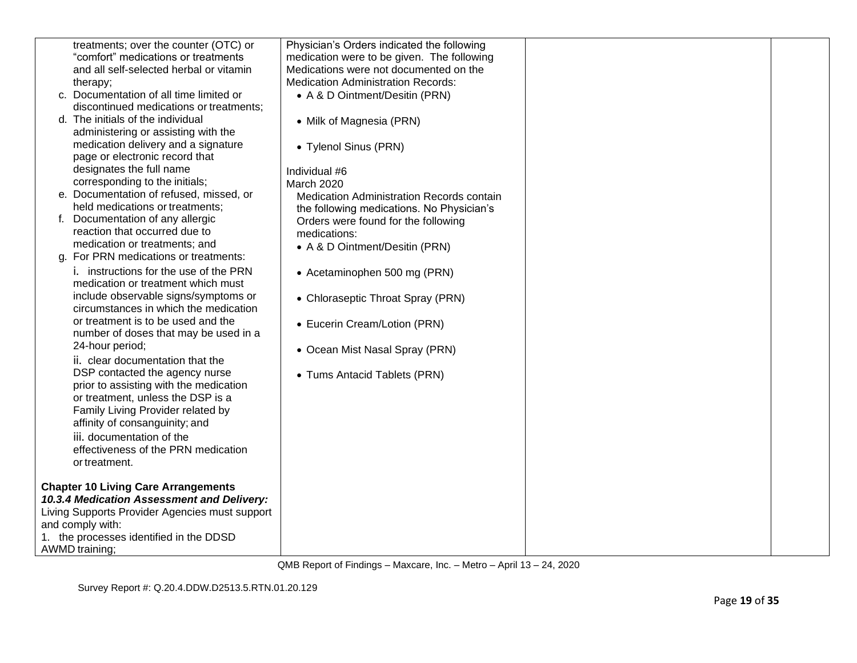| treatments; over the counter (OTC) or                                         | Physician's Orders indicated the following          |  |
|-------------------------------------------------------------------------------|-----------------------------------------------------|--|
| "comfort" medications or treatments                                           | medication were to be given. The following          |  |
| and all self-selected herbal or vitamin                                       | Medications were not documented on the              |  |
| therapy;                                                                      | <b>Medication Administration Records:</b>           |  |
| c. Documentation of all time limited or                                       | • A & D Ointment/Desitin (PRN)                      |  |
| discontinued medications or treatments;                                       |                                                     |  |
| d. The initials of the individual                                             | • Milk of Magnesia (PRN)                            |  |
| administering or assisting with the                                           |                                                     |  |
| medication delivery and a signature                                           | • Tylenol Sinus (PRN)                               |  |
| page or electronic record that                                                |                                                     |  |
| designates the full name                                                      | Individual #6                                       |  |
| corresponding to the initials;                                                | March 2020                                          |  |
| e. Documentation of refused, missed, or                                       | Medication Administration Records contain           |  |
| held medications or treatments;                                               |                                                     |  |
| f. Documentation of any allergic                                              | the following medications. No Physician's           |  |
| reaction that occurred due to                                                 | Orders were found for the following<br>medications: |  |
| medication or treatments; and                                                 |                                                     |  |
| g. For PRN medications or treatments:                                         | • A & D Ointment/Desitin (PRN)                      |  |
| i. instructions for the use of the PRN                                        |                                                     |  |
| medication or treatment which must                                            | • Acetaminophen 500 mg (PRN)                        |  |
|                                                                               |                                                     |  |
| include observable signs/symptoms or<br>circumstances in which the medication | • Chloraseptic Throat Spray (PRN)                   |  |
|                                                                               |                                                     |  |
| or treatment is to be used and the                                            | • Eucerin Cream/Lotion (PRN)                        |  |
| number of doses that may be used in a                                         |                                                     |  |
| 24-hour period;                                                               | • Ocean Mist Nasal Spray (PRN)                      |  |
| ii. clear documentation that the                                              |                                                     |  |
| DSP contacted the agency nurse                                                | • Tums Antacid Tablets (PRN)                        |  |
| prior to assisting with the medication                                        |                                                     |  |
| or treatment, unless the DSP is a                                             |                                                     |  |
| Family Living Provider related by                                             |                                                     |  |
| affinity of consanguinity; and                                                |                                                     |  |
| iii. documentation of the                                                     |                                                     |  |
| effectiveness of the PRN medication                                           |                                                     |  |
| or treatment.                                                                 |                                                     |  |
|                                                                               |                                                     |  |
| <b>Chapter 10 Living Care Arrangements</b>                                    |                                                     |  |
| 10.3.4 Medication Assessment and Delivery:                                    |                                                     |  |
| Living Supports Provider Agencies must support                                |                                                     |  |
| and comply with:                                                              |                                                     |  |
| 1. the processes identified in the DDSD                                       |                                                     |  |
| AWMD training;                                                                |                                                     |  |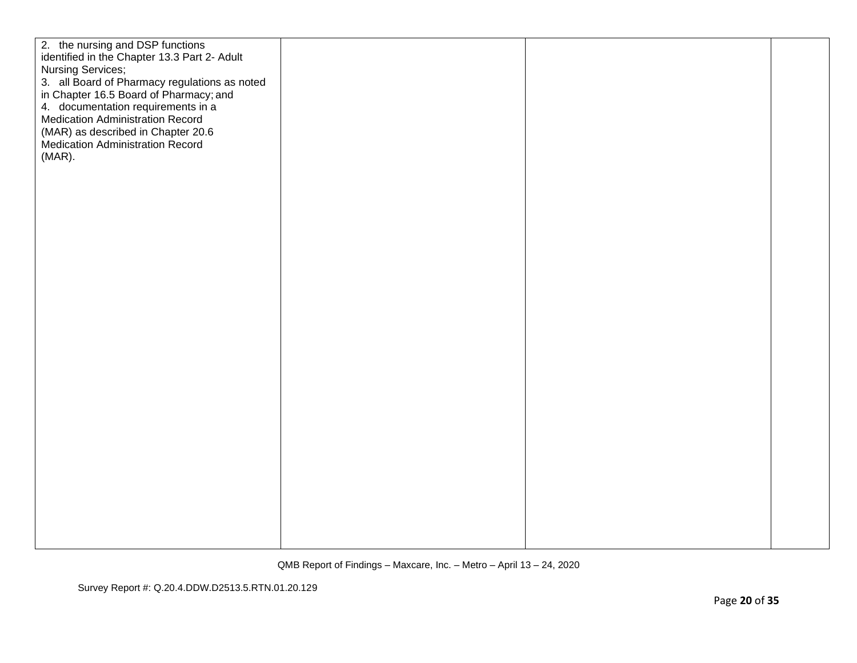| 2. the nursing and DSP functions |                                                                                                                                                                                                                                                                                                                                             |  |  |
|----------------------------------|---------------------------------------------------------------------------------------------------------------------------------------------------------------------------------------------------------------------------------------------------------------------------------------------------------------------------------------------|--|--|
|                                  |                                                                                                                                                                                                                                                                                                                                             |  |  |
|                                  |                                                                                                                                                                                                                                                                                                                                             |  |  |
|                                  |                                                                                                                                                                                                                                                                                                                                             |  |  |
|                                  |                                                                                                                                                                                                                                                                                                                                             |  |  |
|                                  | identified in the Chapter 13.3 Part 2- Adult<br>Nursing Services;<br>3. all Board of Pharmacy regulations as noted<br>in Chapter 16.5 Board of Pharmacy; and<br>4. documentation requirements in a<br><b>Medication Administration Record</b><br>(MAR) as described in Chapter 20.6<br><b>Medication Administration Record</b><br>$(MAR)$ . |  |  |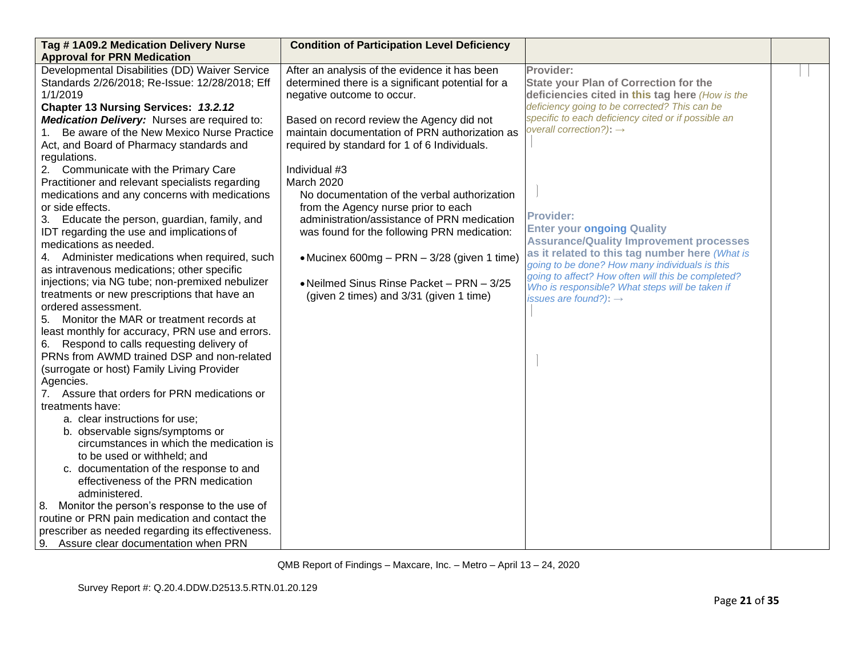| Tag #1A09.2 Medication Delivery Nurse<br><b>Approval for PRN Medication</b>                                                                                                                                                                                                                                                                                                                                                                                                                                                                                                                                                                                                                                                                                                                                                                                                                                                                                                                                                                                                                                                                                                                                                                                                                                  | <b>Condition of Participation Level Deficiency</b>                                                                                                                                                                                                                                                                                                                                                                                                                                                                                                                                                                                         |                                                                                                                                                                                                                                                                                                                                                                                                                                                                                                                                                                                                                          |  |
|--------------------------------------------------------------------------------------------------------------------------------------------------------------------------------------------------------------------------------------------------------------------------------------------------------------------------------------------------------------------------------------------------------------------------------------------------------------------------------------------------------------------------------------------------------------------------------------------------------------------------------------------------------------------------------------------------------------------------------------------------------------------------------------------------------------------------------------------------------------------------------------------------------------------------------------------------------------------------------------------------------------------------------------------------------------------------------------------------------------------------------------------------------------------------------------------------------------------------------------------------------------------------------------------------------------|--------------------------------------------------------------------------------------------------------------------------------------------------------------------------------------------------------------------------------------------------------------------------------------------------------------------------------------------------------------------------------------------------------------------------------------------------------------------------------------------------------------------------------------------------------------------------------------------------------------------------------------------|--------------------------------------------------------------------------------------------------------------------------------------------------------------------------------------------------------------------------------------------------------------------------------------------------------------------------------------------------------------------------------------------------------------------------------------------------------------------------------------------------------------------------------------------------------------------------------------------------------------------------|--|
| Developmental Disabilities (DD) Waiver Service<br>Standards 2/26/2018; Re-Issue: 12/28/2018; Eff<br>1/1/2019<br>Chapter 13 Nursing Services: 13.2.12<br>Medication Delivery: Nurses are required to:<br>Be aware of the New Mexico Nurse Practice<br>Act, and Board of Pharmacy standards and<br>regulations.<br>2. Communicate with the Primary Care<br>Practitioner and relevant specialists regarding<br>medications and any concerns with medications<br>or side effects.<br>3. Educate the person, guardian, family, and<br>IDT regarding the use and implications of<br>medications as needed.<br>4. Administer medications when required, such<br>as intravenous medications; other specific<br>injections; via NG tube; non-premixed nebulizer<br>treatments or new prescriptions that have an<br>ordered assessment.<br>Monitor the MAR or treatment records at<br>5.<br>least monthly for accuracy, PRN use and errors.<br>6. Respond to calls requesting delivery of<br>PRNs from AWMD trained DSP and non-related<br>(surrogate or host) Family Living Provider<br>Agencies.<br>7. Assure that orders for PRN medications or<br>treatments have:<br>a. clear instructions for use;<br>b. observable signs/symptoms or<br>circumstances in which the medication is<br>to be used or withheld; and | After an analysis of the evidence it has been<br>determined there is a significant potential for a<br>negative outcome to occur.<br>Based on record review the Agency did not<br>maintain documentation of PRN authorization as<br>required by standard for 1 of 6 Individuals.<br>Individual #3<br>March 2020<br>No documentation of the verbal authorization<br>from the Agency nurse prior to each<br>administration/assistance of PRN medication<br>was found for the following PRN medication:<br>• Mucinex 600mg - PRN - 3/28 (given 1 time)<br>• Neilmed Sinus Rinse Packet - PRN - 3/25<br>(given 2 times) and 3/31 (given 1 time) | Provider:<br><b>State your Plan of Correction for the</b><br>deficiencies cited in this tag here (How is the<br>deficiency going to be corrected? This can be<br>specific to each deficiency cited or if possible an<br>overall correction?): $\rightarrow$<br><b>Provider:</b><br><b>Enter your ongoing Quality</b><br><b>Assurance/Quality Improvement processes</b><br>as it related to this tag number here (What is<br>going to be done? How many individuals is this<br>going to affect? How often will this be completed?<br>Who is responsible? What steps will be taken if<br>issues are found?): $\rightarrow$ |  |
|                                                                                                                                                                                                                                                                                                                                                                                                                                                                                                                                                                                                                                                                                                                                                                                                                                                                                                                                                                                                                                                                                                                                                                                                                                                                                                              |                                                                                                                                                                                                                                                                                                                                                                                                                                                                                                                                                                                                                                            |                                                                                                                                                                                                                                                                                                                                                                                                                                                                                                                                                                                                                          |  |
| c. documentation of the response to and<br>effectiveness of the PRN medication<br>administered.                                                                                                                                                                                                                                                                                                                                                                                                                                                                                                                                                                                                                                                                                                                                                                                                                                                                                                                                                                                                                                                                                                                                                                                                              |                                                                                                                                                                                                                                                                                                                                                                                                                                                                                                                                                                                                                                            |                                                                                                                                                                                                                                                                                                                                                                                                                                                                                                                                                                                                                          |  |
| 8. Monitor the person's response to the use of<br>routine or PRN pain medication and contact the<br>prescriber as needed regarding its effectiveness.                                                                                                                                                                                                                                                                                                                                                                                                                                                                                                                                                                                                                                                                                                                                                                                                                                                                                                                                                                                                                                                                                                                                                        |                                                                                                                                                                                                                                                                                                                                                                                                                                                                                                                                                                                                                                            |                                                                                                                                                                                                                                                                                                                                                                                                                                                                                                                                                                                                                          |  |
| 9. Assure clear documentation when PRN                                                                                                                                                                                                                                                                                                                                                                                                                                                                                                                                                                                                                                                                                                                                                                                                                                                                                                                                                                                                                                                                                                                                                                                                                                                                       |                                                                                                                                                                                                                                                                                                                                                                                                                                                                                                                                                                                                                                            |                                                                                                                                                                                                                                                                                                                                                                                                                                                                                                                                                                                                                          |  |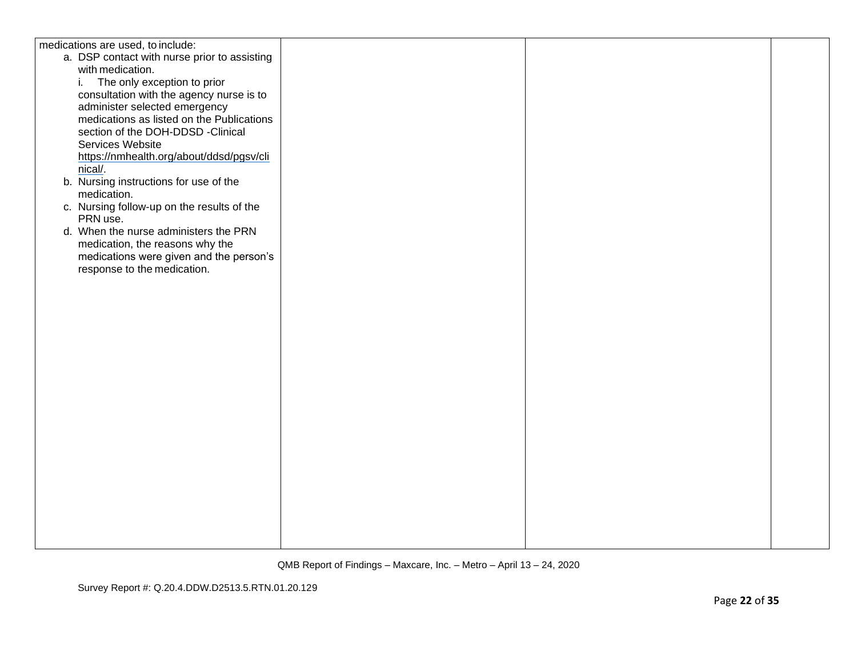| medications are used, to include:            |  |  |
|----------------------------------------------|--|--|
| a. DSP contact with nurse prior to assisting |  |  |
| with medication.                             |  |  |
| The only exception to prior<br>i.            |  |  |
| consultation with the agency nurse is to     |  |  |
| administer selected emergency                |  |  |
| medications as listed on the Publications    |  |  |
| section of the DOH-DDSD -Clinical            |  |  |
| Services Website                             |  |  |
| https://nmhealth.org/about/ddsd/pgsv/cli     |  |  |
| nical/.                                      |  |  |
| b. Nursing instructions for use of the       |  |  |
| medication.                                  |  |  |
| c. Nursing follow-up on the results of the   |  |  |
| PRN use.                                     |  |  |
| d. When the nurse administers the PRN        |  |  |
| medication, the reasons why the              |  |  |
| medications were given and the person's      |  |  |
| response to the medication.                  |  |  |
|                                              |  |  |
|                                              |  |  |
|                                              |  |  |
|                                              |  |  |
|                                              |  |  |
|                                              |  |  |
|                                              |  |  |
|                                              |  |  |
|                                              |  |  |
|                                              |  |  |
|                                              |  |  |
|                                              |  |  |
|                                              |  |  |
|                                              |  |  |
|                                              |  |  |
|                                              |  |  |
|                                              |  |  |
|                                              |  |  |
|                                              |  |  |
|                                              |  |  |
|                                              |  |  |
|                                              |  |  |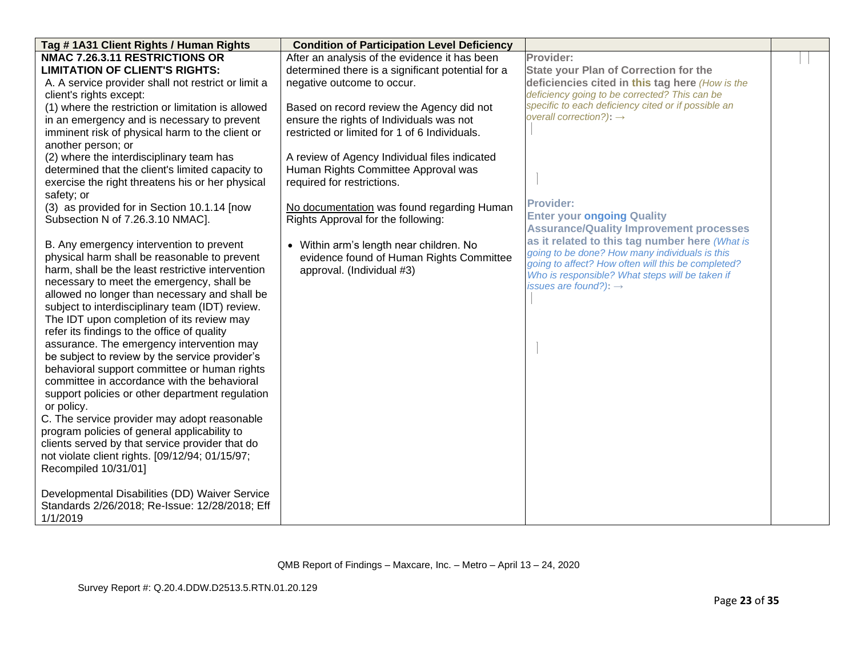| Tag # 1A31 Client Rights / Human Rights             | <b>Condition of Participation Level Deficiency</b> |                                                                                      |  |
|-----------------------------------------------------|----------------------------------------------------|--------------------------------------------------------------------------------------|--|
| NMAC 7.26.3.11 RESTRICTIONS OR                      | After an analysis of the evidence it has been      | Provider:                                                                            |  |
| <b>LIMITATION OF CLIENT'S RIGHTS:</b>               | determined there is a significant potential for a  | <b>State your Plan of Correction for the</b>                                         |  |
| A. A service provider shall not restrict or limit a | negative outcome to occur.                         | deficiencies cited in this tag here (How is the                                      |  |
| client's rights except:                             |                                                    | deficiency going to be corrected? This can be                                        |  |
| (1) where the restriction or limitation is allowed  | Based on record review the Agency did not          | specific to each deficiency cited or if possible an                                  |  |
| in an emergency and is necessary to prevent         | ensure the rights of Individuals was not           | overall correction?): $\rightarrow$                                                  |  |
| imminent risk of physical harm to the client or     | restricted or limited for 1 of 6 Individuals.      |                                                                                      |  |
| another person; or                                  |                                                    |                                                                                      |  |
| (2) where the interdisciplinary team has            | A review of Agency Individual files indicated      |                                                                                      |  |
| determined that the client's limited capacity to    | Human Rights Committee Approval was                |                                                                                      |  |
| exercise the right threatens his or her physical    | required for restrictions.                         |                                                                                      |  |
| safety; or                                          |                                                    |                                                                                      |  |
| (3) as provided for in Section 10.1.14 [now         | No documentation was found regarding Human         | Provider:                                                                            |  |
| Subsection N of 7.26.3.10 NMAC].                    | Rights Approval for the following:                 | <b>Enter your ongoing Quality</b>                                                    |  |
|                                                     |                                                    | <b>Assurance/Quality Improvement processes</b>                                       |  |
| B. Any emergency intervention to prevent            | • Within arm's length near children. No            | as it related to this tag number here (What is                                       |  |
| physical harm shall be reasonable to prevent        | evidence found of Human Rights Committee           | going to be done? How many individuals is this                                       |  |
| harm, shall be the least restrictive intervention   | approval. (Individual #3)                          | going to affect? How often will this be completed?                                   |  |
| necessary to meet the emergency, shall be           |                                                    | Who is responsible? What steps will be taken if<br>issues are found?): $\rightarrow$ |  |
| allowed no longer than necessary and shall be       |                                                    |                                                                                      |  |
| subject to interdisciplinary team (IDT) review.     |                                                    |                                                                                      |  |
| The IDT upon completion of its review may           |                                                    |                                                                                      |  |
| refer its findings to the office of quality         |                                                    |                                                                                      |  |
| assurance. The emergency intervention may           |                                                    |                                                                                      |  |
| be subject to review by the service provider's      |                                                    |                                                                                      |  |
| behavioral support committee or human rights        |                                                    |                                                                                      |  |
| committee in accordance with the behavioral         |                                                    |                                                                                      |  |
| support policies or other department regulation     |                                                    |                                                                                      |  |
| or policy.                                          |                                                    |                                                                                      |  |
| C. The service provider may adopt reasonable        |                                                    |                                                                                      |  |
| program policies of general applicability to        |                                                    |                                                                                      |  |
| clients served by that service provider that do     |                                                    |                                                                                      |  |
| not violate client rights. [09/12/94; 01/15/97;     |                                                    |                                                                                      |  |
| Recompiled 10/31/01]                                |                                                    |                                                                                      |  |
|                                                     |                                                    |                                                                                      |  |
| Developmental Disabilities (DD) Waiver Service      |                                                    |                                                                                      |  |
| Standards 2/26/2018; Re-Issue: 12/28/2018; Eff      |                                                    |                                                                                      |  |
| 1/1/2019                                            |                                                    |                                                                                      |  |
|                                                     |                                                    |                                                                                      |  |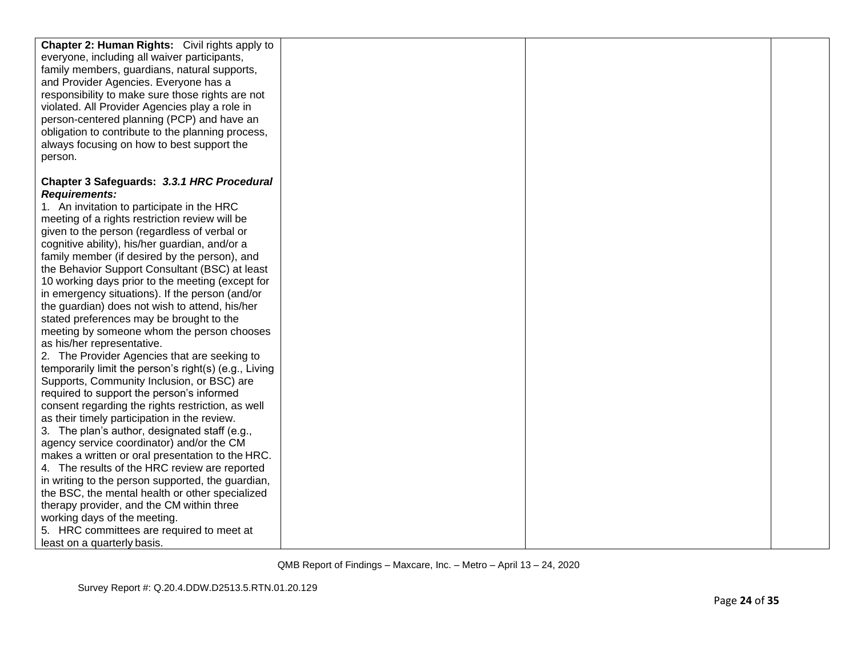| <b>Chapter 2: Human Rights:</b> Civil rights apply to |  |  |
|-------------------------------------------------------|--|--|
| everyone, including all waiver participants,          |  |  |
| family members, guardians, natural supports,          |  |  |
| and Provider Agencies. Everyone has a                 |  |  |
| responsibility to make sure those rights are not      |  |  |
| violated. All Provider Agencies play a role in        |  |  |
| person-centered planning (PCP) and have an            |  |  |
| obligation to contribute to the planning process,     |  |  |
| always focusing on how to best support the            |  |  |
| person.                                               |  |  |
|                                                       |  |  |
| Chapter 3 Safeguards: 3.3.1 HRC Procedural            |  |  |
| <b>Requirements:</b>                                  |  |  |
| 1. An invitation to participate in the HRC            |  |  |
| meeting of a rights restriction review will be        |  |  |
| given to the person (regardless of verbal or          |  |  |
| cognitive ability), his/her guardian, and/or a        |  |  |
| family member (if desired by the person), and         |  |  |
| the Behavior Support Consultant (BSC) at least        |  |  |
| 10 working days prior to the meeting (except for      |  |  |
| in emergency situations). If the person (and/or       |  |  |
| the guardian) does not wish to attend, his/her        |  |  |
| stated preferences may be brought to the              |  |  |
| meeting by someone whom the person chooses            |  |  |
| as his/her representative.                            |  |  |
| 2. The Provider Agencies that are seeking to          |  |  |
| temporarily limit the person's right(s) (e.g., Living |  |  |
| Supports, Community Inclusion, or BSC) are            |  |  |
| required to support the person's informed             |  |  |
| consent regarding the rights restriction, as well     |  |  |
| as their timely participation in the review.          |  |  |
| 3. The plan's author, designated staff (e.g.,         |  |  |
| agency service coordinator) and/or the CM             |  |  |
| makes a written or oral presentation to the HRC.      |  |  |
| 4. The results of the HRC review are reported         |  |  |
| in writing to the person supported, the guardian,     |  |  |
| the BSC, the mental health or other specialized       |  |  |
| therapy provider, and the CM within three             |  |  |
| working days of the meeting.                          |  |  |
| 5. HRC committees are required to meet at             |  |  |
| least on a quarterly basis.                           |  |  |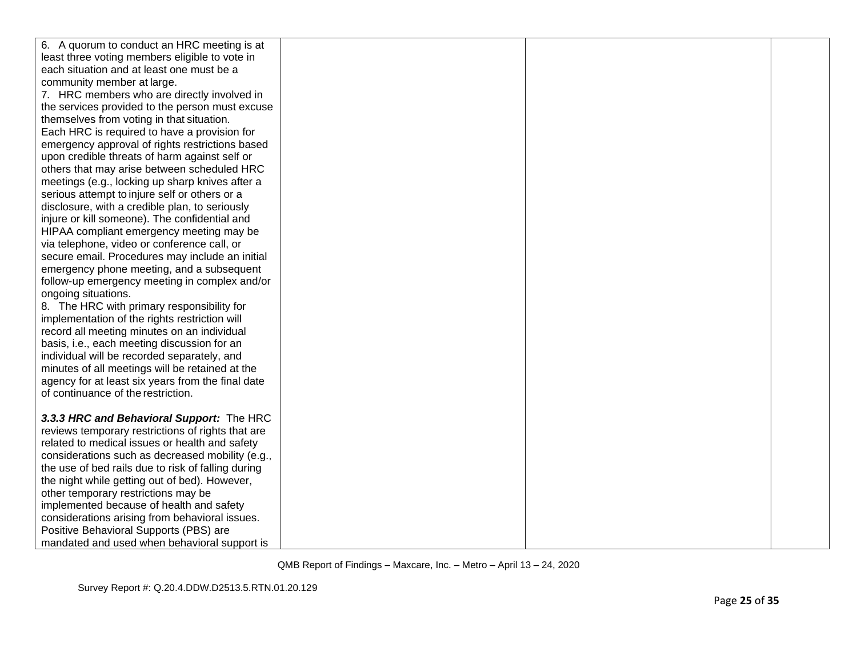| 6. A quorum to conduct an HRC meeting is at        |  |  |
|----------------------------------------------------|--|--|
| least three voting members eligible to vote in     |  |  |
| each situation and at least one must be a          |  |  |
| community member at large.                         |  |  |
| 7. HRC members who are directly involved in        |  |  |
| the services provided to the person must excuse    |  |  |
| themselves from voting in that situation.          |  |  |
| Each HRC is required to have a provision for       |  |  |
| emergency approval of rights restrictions based    |  |  |
| upon credible threats of harm against self or      |  |  |
| others that may arise between scheduled HRC        |  |  |
| meetings (e.g., locking up sharp knives after a    |  |  |
| serious attempt to injure self or others or a      |  |  |
| disclosure, with a credible plan, to seriously     |  |  |
| injure or kill someone). The confidential and      |  |  |
| HIPAA compliant emergency meeting may be           |  |  |
| via telephone, video or conference call, or        |  |  |
| secure email. Procedures may include an initial    |  |  |
| emergency phone meeting, and a subsequent          |  |  |
| follow-up emergency meeting in complex and/or      |  |  |
| ongoing situations.                                |  |  |
| 8. The HRC with primary responsibility for         |  |  |
| implementation of the rights restriction will      |  |  |
| record all meeting minutes on an individual        |  |  |
| basis, i.e., each meeting discussion for an        |  |  |
| individual will be recorded separately, and        |  |  |
| minutes of all meetings will be retained at the    |  |  |
| agency for at least six years from the final date  |  |  |
| of continuance of the restriction.                 |  |  |
|                                                    |  |  |
| 3.3.3 HRC and Behavioral Support: The HRC          |  |  |
| reviews temporary restrictions of rights that are  |  |  |
| related to medical issues or health and safety     |  |  |
| considerations such as decreased mobility (e.g.,   |  |  |
| the use of bed rails due to risk of falling during |  |  |
| the night while getting out of bed). However,      |  |  |
| other temporary restrictions may be                |  |  |
| implemented because of health and safety           |  |  |
| considerations arising from behavioral issues.     |  |  |
| Positive Behavioral Supports (PBS) are             |  |  |
| mandated and used when behavioral support is       |  |  |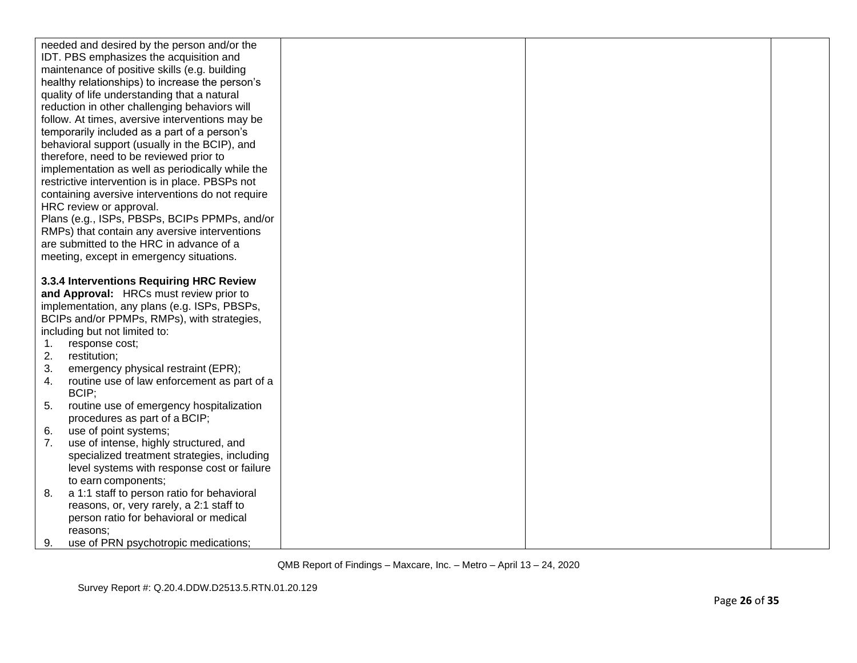|    | needed and desired by the person and/or the          |  |  |
|----|------------------------------------------------------|--|--|
|    | IDT. PBS emphasizes the acquisition and              |  |  |
|    | maintenance of positive skills (e.g. building        |  |  |
|    | healthy relationships) to increase the person's      |  |  |
|    | quality of life understanding that a natural         |  |  |
|    | reduction in other challenging behaviors will        |  |  |
|    | follow. At times, aversive interventions may be      |  |  |
|    | temporarily included as a part of a person's         |  |  |
|    | behavioral support (usually in the BCIP), and        |  |  |
|    | therefore, need to be reviewed prior to              |  |  |
|    | implementation as well as periodically while the     |  |  |
|    | restrictive intervention is in place. PBSPs not      |  |  |
|    | containing aversive interventions do not require     |  |  |
|    | HRC review or approval.                              |  |  |
|    | Plans (e.g., ISPs, PBSPs, BCIPs PPMPs, and/or        |  |  |
|    | RMPs) that contain any aversive interventions        |  |  |
|    | are submitted to the HRC in advance of a             |  |  |
|    | meeting, except in emergency situations.             |  |  |
|    |                                                      |  |  |
|    | 3.3.4 Interventions Requiring HRC Review             |  |  |
|    | and Approval: HRCs must review prior to              |  |  |
|    | implementation, any plans (e.g. ISPs, PBSPs,         |  |  |
|    | BCIPs and/or PPMPs, RMPs), with strategies,          |  |  |
|    | including but not limited to:                        |  |  |
| 1. | response cost;                                       |  |  |
| 2. | restitution;                                         |  |  |
| 3. | emergency physical restraint (EPR);                  |  |  |
| 4. | routine use of law enforcement as part of a<br>BCIP; |  |  |
| 5. | routine use of emergency hospitalization             |  |  |
|    | procedures as part of a BCIP;                        |  |  |
| 6. | use of point systems;                                |  |  |
| 7. | use of intense, highly structured, and               |  |  |
|    | specialized treatment strategies, including          |  |  |
|    | level systems with response cost or failure          |  |  |
|    | to earn components;                                  |  |  |
| 8. | a 1:1 staff to person ratio for behavioral           |  |  |
|    | reasons, or, very rarely, a 2:1 staff to             |  |  |
|    | person ratio for behavioral or medical               |  |  |
|    | reasons;                                             |  |  |
| 9. | use of PRN psychotropic medications;                 |  |  |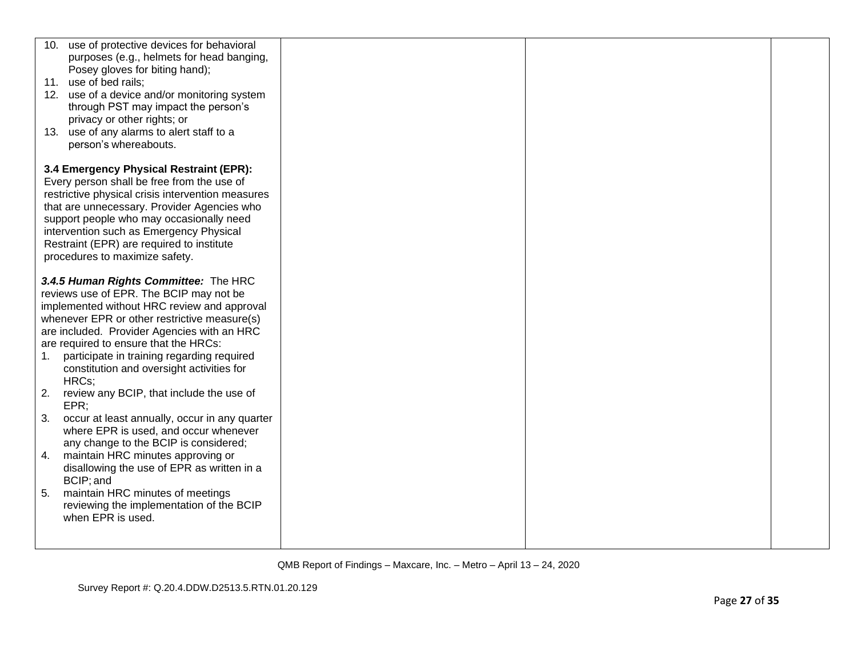|    | 10. use of protective devices for behavioral                                            |
|----|-----------------------------------------------------------------------------------------|
|    | purposes (e.g., helmets for head banging,                                               |
|    | Posey gloves for biting hand);                                                          |
|    | 11. use of bed rails;                                                                   |
|    | 12. use of a device and/or monitoring system                                            |
|    | through PST may impact the person's                                                     |
|    | privacy or other rights; or                                                             |
|    | 13. use of any alarms to alert staff to a                                               |
|    | person's whereabouts.                                                                   |
|    |                                                                                         |
|    | 3.4 Emergency Physical Restraint (EPR):                                                 |
|    | Every person shall be free from the use of                                              |
|    | restrictive physical crisis intervention measures                                       |
|    | that are unnecessary. Provider Agencies who<br>support people who may occasionally need |
|    | intervention such as Emergency Physical                                                 |
|    | Restraint (EPR) are required to institute                                               |
|    | procedures to maximize safety.                                                          |
|    |                                                                                         |
|    | 3.4.5 Human Rights Committee: The HRC                                                   |
|    | reviews use of EPR. The BCIP may not be                                                 |
|    | implemented without HRC review and approval                                             |
|    | whenever EPR or other restrictive measure(s)                                            |
|    | are included. Provider Agencies with an HRC                                             |
|    | are required to ensure that the HRCs:                                                   |
| 1. | participate in training regarding required                                              |
|    | constitution and oversight activities for                                               |
|    | HRCs;                                                                                   |
| 2. | review any BCIP, that include the use of                                                |
|    | EPR                                                                                     |
| 3. | occur at least annually, occur in any quarter                                           |
|    | where EPR is used, and occur whenever                                                   |
|    | any change to the BCIP is considered;                                                   |
| 4. | maintain HRC minutes approving or                                                       |
|    | disallowing the use of EPR as written in a                                              |
|    | BCIP; and                                                                               |
| 5. | maintain HRC minutes of meetings                                                        |
|    | reviewing the implementation of the BCIP                                                |
|    | when EPR is used.                                                                       |
|    |                                                                                         |
|    |                                                                                         |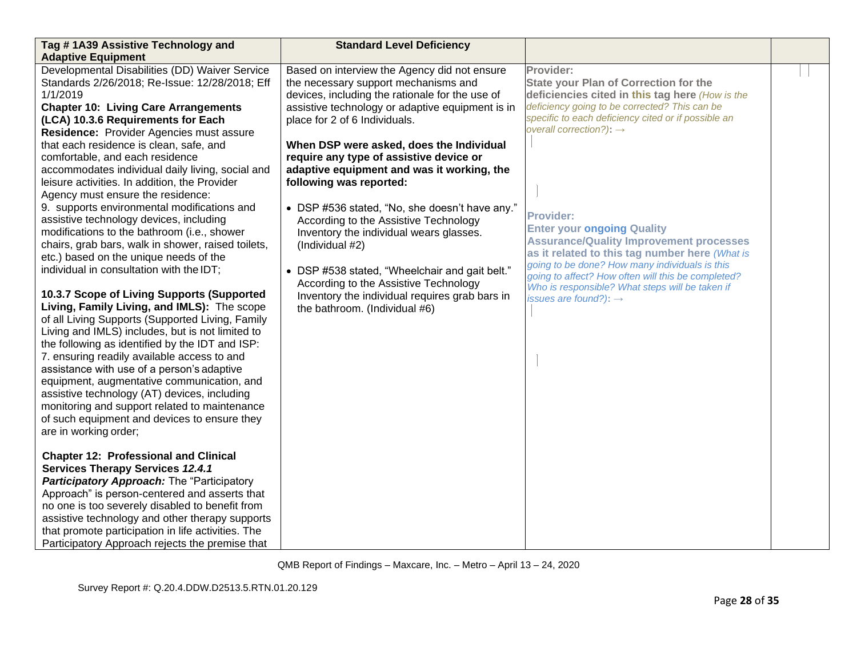| Tag #1A39 Assistive Technology and<br><b>Adaptive Equipment</b>                                                                                                                                                                                                                                                                                                                                                                                                                                                                                                                                                                                                                                                                                                                                                                                                                                                                                                                                                                                                                                                                                                                                                                                                                                                                                                                                                                                                                                                                                                                                                                                                                                                                                  | <b>Standard Level Deficiency</b>                                                                                                                                                                                                                                                                                                                                                                                                                                                                                                                                                                                                                                                                                                    |                                                                                                                                                                                                                                                                                                                                                                                                                                                                                                                                                                                                                          |  |
|--------------------------------------------------------------------------------------------------------------------------------------------------------------------------------------------------------------------------------------------------------------------------------------------------------------------------------------------------------------------------------------------------------------------------------------------------------------------------------------------------------------------------------------------------------------------------------------------------------------------------------------------------------------------------------------------------------------------------------------------------------------------------------------------------------------------------------------------------------------------------------------------------------------------------------------------------------------------------------------------------------------------------------------------------------------------------------------------------------------------------------------------------------------------------------------------------------------------------------------------------------------------------------------------------------------------------------------------------------------------------------------------------------------------------------------------------------------------------------------------------------------------------------------------------------------------------------------------------------------------------------------------------------------------------------------------------------------------------------------------------|-------------------------------------------------------------------------------------------------------------------------------------------------------------------------------------------------------------------------------------------------------------------------------------------------------------------------------------------------------------------------------------------------------------------------------------------------------------------------------------------------------------------------------------------------------------------------------------------------------------------------------------------------------------------------------------------------------------------------------------|--------------------------------------------------------------------------------------------------------------------------------------------------------------------------------------------------------------------------------------------------------------------------------------------------------------------------------------------------------------------------------------------------------------------------------------------------------------------------------------------------------------------------------------------------------------------------------------------------------------------------|--|
| Developmental Disabilities (DD) Waiver Service<br>Standards 2/26/2018; Re-Issue: 12/28/2018; Eff<br>1/1/2019<br><b>Chapter 10: Living Care Arrangements</b><br>(LCA) 10.3.6 Requirements for Each<br>Residence: Provider Agencies must assure<br>that each residence is clean, safe, and<br>comfortable, and each residence<br>accommodates individual daily living, social and<br>leisure activities. In addition, the Provider<br>Agency must ensure the residence:<br>9. supports environmental modifications and<br>assistive technology devices, including<br>modifications to the bathroom (i.e., shower<br>chairs, grab bars, walk in shower, raised toilets,<br>etc.) based on the unique needs of the<br>individual in consultation with the IDT;<br>10.3.7 Scope of Living Supports (Supported<br>Living, Family Living, and IMLS): The scope<br>of all Living Supports (Supported Living, Family<br>Living and IMLS) includes, but is not limited to<br>the following as identified by the IDT and ISP:<br>7. ensuring readily available access to and<br>assistance with use of a person's adaptive<br>equipment, augmentative communication, and<br>assistive technology (AT) devices, including<br>monitoring and support related to maintenance<br>of such equipment and devices to ensure they<br>are in working order;<br><b>Chapter 12: Professional and Clinical</b><br><b>Services Therapy Services 12.4.1</b><br>Participatory Approach: The "Participatory<br>Approach" is person-centered and asserts that<br>no one is too severely disabled to benefit from<br>assistive technology and other therapy supports<br>that promote participation in life activities. The<br>Participatory Approach rejects the premise that | Based on interview the Agency did not ensure<br>the necessary support mechanisms and<br>devices, including the rationale for the use of<br>assistive technology or adaptive equipment is in<br>place for 2 of 6 Individuals.<br>When DSP were asked, does the Individual<br>require any type of assistive device or<br>adaptive equipment and was it working, the<br>following was reported:<br>• DSP #536 stated, "No, she doesn't have any."<br>According to the Assistive Technology<br>Inventory the individual wears glasses.<br>(Individual #2)<br>• DSP #538 stated, "Wheelchair and gait belt."<br>According to the Assistive Technology<br>Inventory the individual requires grab bars in<br>the bathroom. (Individual #6) | Provider:<br><b>State your Plan of Correction for the</b><br>deficiencies cited in this tag here (How is the<br>deficiency going to be corrected? This can be<br>specific to each deficiency cited or if possible an<br>overall correction?): $\rightarrow$<br><b>Provider:</b><br><b>Enter your ongoing Quality</b><br><b>Assurance/Quality Improvement processes</b><br>as it related to this tag number here (What is<br>going to be done? How many individuals is this<br>going to affect? How often will this be completed?<br>Who is responsible? What steps will be taken if<br>issues are found?): $\rightarrow$ |  |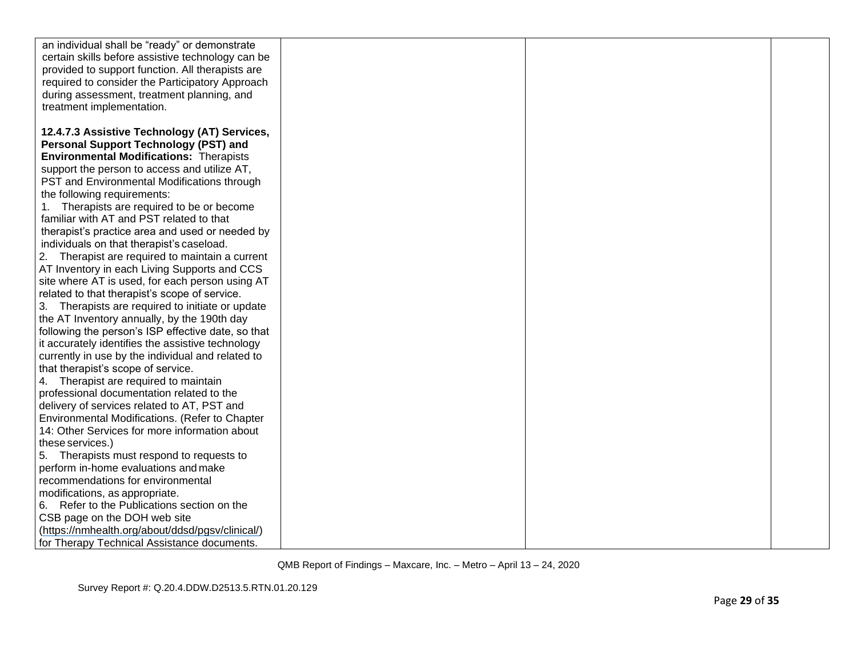| an individual shall be "ready" or demonstrate      |  |  |
|----------------------------------------------------|--|--|
| certain skills before assistive technology can be  |  |  |
| provided to support function. All therapists are   |  |  |
| required to consider the Participatory Approach    |  |  |
| during assessment, treatment planning, and         |  |  |
| treatment implementation.                          |  |  |
|                                                    |  |  |
| 12.4.7.3 Assistive Technology (AT) Services,       |  |  |
| <b>Personal Support Technology (PST) and</b>       |  |  |
| <b>Environmental Modifications: Therapists</b>     |  |  |
| support the person to access and utilize AT,       |  |  |
| PST and Environmental Modifications through        |  |  |
| the following requirements:                        |  |  |
| 1. Therapists are required to be or become         |  |  |
| familiar with AT and PST related to that           |  |  |
| therapist's practice area and used or needed by    |  |  |
| individuals on that therapist's caseload.          |  |  |
| 2. Therapist are required to maintain a current    |  |  |
| AT Inventory in each Living Supports and CCS       |  |  |
| site where AT is used, for each person using AT    |  |  |
| related to that therapist's scope of service.      |  |  |
| 3. Therapists are required to initiate or update   |  |  |
| the AT Inventory annually, by the 190th day        |  |  |
| following the person's ISP effective date, so that |  |  |
| it accurately identifies the assistive technology  |  |  |
| currently in use by the individual and related to  |  |  |
| that therapist's scope of service.                 |  |  |
| 4. Therapist are required to maintain              |  |  |
| professional documentation related to the          |  |  |
| delivery of services related to AT, PST and        |  |  |
| Environmental Modifications. (Refer to Chapter     |  |  |
| 14: Other Services for more information about      |  |  |
| these services.)                                   |  |  |
| 5. Therapists must respond to requests to          |  |  |
| perform in-home evaluations and make               |  |  |
| recommendations for environmental                  |  |  |
| modifications, as appropriate.                     |  |  |
| 6. Refer to the Publications section on the        |  |  |
| CSB page on the DOH web site                       |  |  |
| (https://nmhealth.org/about/ddsd/pgsv/clinical/)   |  |  |
| for Therapy Technical Assistance documents.        |  |  |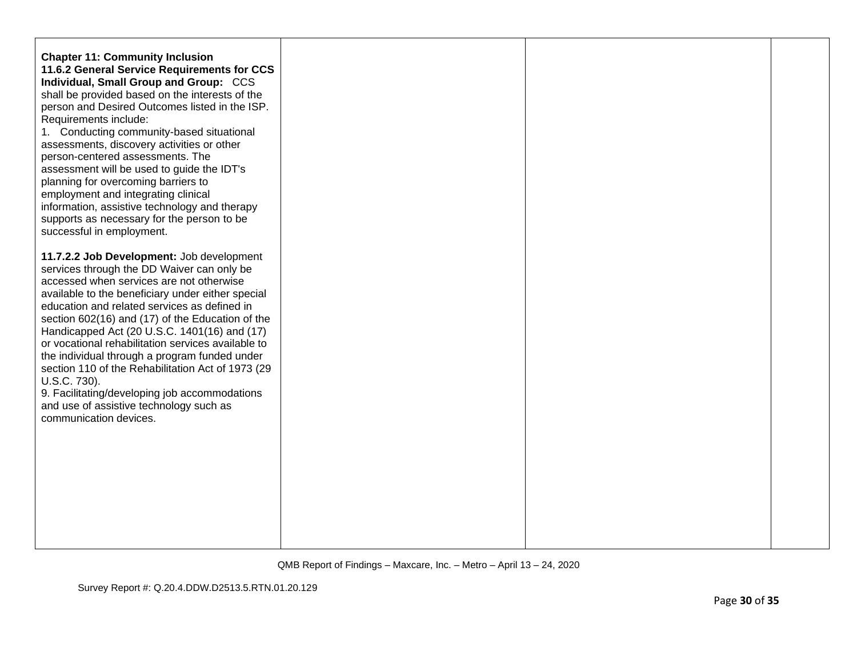| <b>Chapter 11: Community Inclusion</b><br>11.6.2 General Service Requirements for CCS<br>Individual, Small Group and Group: CCS<br>shall be provided based on the interests of the<br>person and Desired Outcomes listed in the ISP.<br>Requirements include:<br>1. Conducting community-based situational<br>assessments, discovery activities or other<br>person-centered assessments. The<br>assessment will be used to guide the IDT's<br>planning for overcoming barriers to<br>employment and integrating clinical<br>information, assistive technology and therapy<br>supports as necessary for the person to be<br>successful in employment. |  |  |
|------------------------------------------------------------------------------------------------------------------------------------------------------------------------------------------------------------------------------------------------------------------------------------------------------------------------------------------------------------------------------------------------------------------------------------------------------------------------------------------------------------------------------------------------------------------------------------------------------------------------------------------------------|--|--|
| 11.7.2.2 Job Development: Job development<br>services through the DD Waiver can only be<br>accessed when services are not otherwise<br>available to the beneficiary under either special<br>education and related services as defined in<br>section 602(16) and (17) of the Education of the<br>Handicapped Act (20 U.S.C. 1401(16) and (17)<br>or vocational rehabilitation services available to<br>the individual through a program funded under<br>section 110 of the Rehabilitation Act of 1973 (29<br>U.S.C. 730).<br>9. Facilitating/developing job accommodations<br>and use of assistive technology such as<br>communication devices.       |  |  |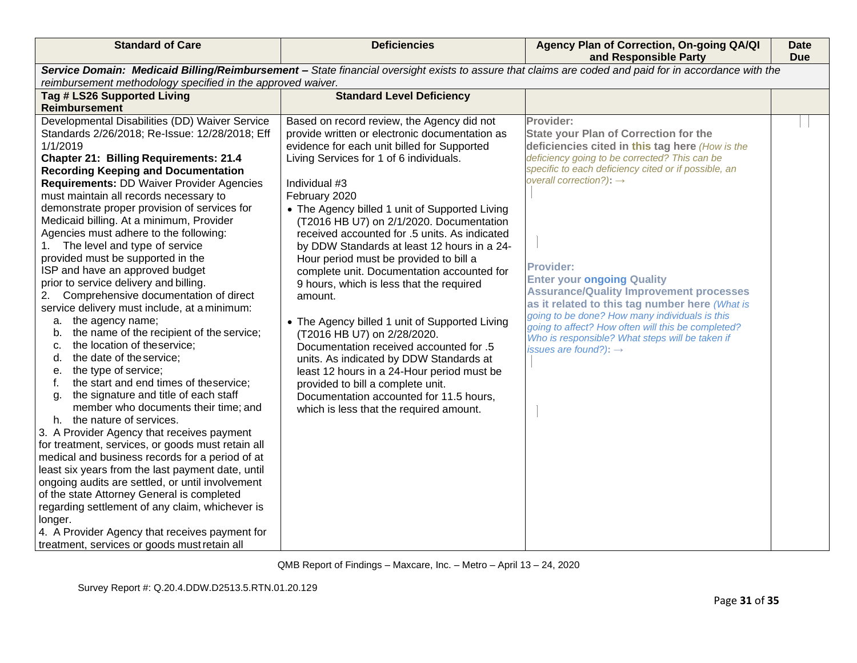| <b>Standard of Care</b>                                                                                                                                                                                                                                                                                                                                                                                                                                                                                                                                                                                                                                                                                                                                                                                                                                                                                                                                                                                                                                                                                                                                                                                                                                                                                                                                                                                                                                                                                                                     | <b>Deficiencies</b>                                                                                                                                                                                                                                                                                                                                                                                                                                                                                                                                                                                                                                                                                                                                                                                                                                                                                                   | Agency Plan of Correction, On-going QA/QI<br>and Responsible Party                                                                                                                                                                                                                                                                                                                                                                                                                                                                                                                                                 | Date<br><b>Due</b> |  |
|---------------------------------------------------------------------------------------------------------------------------------------------------------------------------------------------------------------------------------------------------------------------------------------------------------------------------------------------------------------------------------------------------------------------------------------------------------------------------------------------------------------------------------------------------------------------------------------------------------------------------------------------------------------------------------------------------------------------------------------------------------------------------------------------------------------------------------------------------------------------------------------------------------------------------------------------------------------------------------------------------------------------------------------------------------------------------------------------------------------------------------------------------------------------------------------------------------------------------------------------------------------------------------------------------------------------------------------------------------------------------------------------------------------------------------------------------------------------------------------------------------------------------------------------|-----------------------------------------------------------------------------------------------------------------------------------------------------------------------------------------------------------------------------------------------------------------------------------------------------------------------------------------------------------------------------------------------------------------------------------------------------------------------------------------------------------------------------------------------------------------------------------------------------------------------------------------------------------------------------------------------------------------------------------------------------------------------------------------------------------------------------------------------------------------------------------------------------------------------|--------------------------------------------------------------------------------------------------------------------------------------------------------------------------------------------------------------------------------------------------------------------------------------------------------------------------------------------------------------------------------------------------------------------------------------------------------------------------------------------------------------------------------------------------------------------------------------------------------------------|--------------------|--|
| reimbursement methodology specified in the approved waiver.                                                                                                                                                                                                                                                                                                                                                                                                                                                                                                                                                                                                                                                                                                                                                                                                                                                                                                                                                                                                                                                                                                                                                                                                                                                                                                                                                                                                                                                                                 | Service Domain: Medicaid Billing/Reimbursement - State financial oversight exists to assure that claims are coded and paid for in accordance with the                                                                                                                                                                                                                                                                                                                                                                                                                                                                                                                                                                                                                                                                                                                                                                 |                                                                                                                                                                                                                                                                                                                                                                                                                                                                                                                                                                                                                    |                    |  |
| Tag # LS26 Supported Living<br><b>Reimbursement</b>                                                                                                                                                                                                                                                                                                                                                                                                                                                                                                                                                                                                                                                                                                                                                                                                                                                                                                                                                                                                                                                                                                                                                                                                                                                                                                                                                                                                                                                                                         | <b>Standard Level Deficiency</b>                                                                                                                                                                                                                                                                                                                                                                                                                                                                                                                                                                                                                                                                                                                                                                                                                                                                                      |                                                                                                                                                                                                                                                                                                                                                                                                                                                                                                                                                                                                                    |                    |  |
| Developmental Disabilities (DD) Waiver Service<br>Standards 2/26/2018; Re-Issue: 12/28/2018; Eff<br>1/1/2019<br><b>Chapter 21: Billing Requirements: 21.4</b><br><b>Recording Keeping and Documentation</b><br><b>Requirements: DD Waiver Provider Agencies</b><br>must maintain all records necessary to<br>demonstrate proper provision of services for<br>Medicaid billing. At a minimum, Provider<br>Agencies must adhere to the following:<br>The level and type of service<br>1.<br>provided must be supported in the<br>ISP and have an approved budget<br>prior to service delivery and billing.<br>2.<br>Comprehensive documentation of direct<br>service delivery must include, at a minimum:<br>the agency name;<br>а.<br>the name of the recipient of the service;<br>b.<br>the location of theservice;<br>C.<br>the date of the service;<br>d.<br>the type of service;<br>е.<br>the start and end times of theservice;<br>f.<br>the signature and title of each staff<br>g.<br>member who documents their time; and<br>h. the nature of services.<br>3. A Provider Agency that receives payment<br>for treatment, services, or goods must retain all<br>medical and business records for a period of at<br>least six years from the last payment date, until<br>ongoing audits are settled, or until involvement<br>of the state Attorney General is completed<br>regarding settlement of any claim, whichever is<br>longer.<br>4. A Provider Agency that receives payment for<br>treatment, services or goods must retain all | Based on record review, the Agency did not<br>provide written or electronic documentation as<br>evidence for each unit billed for Supported<br>Living Services for 1 of 6 individuals.<br>Individual #3<br>February 2020<br>• The Agency billed 1 unit of Supported Living<br>(T2016 HB U7) on 2/1/2020. Documentation<br>received accounted for .5 units. As indicated<br>by DDW Standards at least 12 hours in a 24-<br>Hour period must be provided to bill a<br>complete unit. Documentation accounted for<br>9 hours, which is less that the required<br>amount.<br>• The Agency billed 1 unit of Supported Living<br>(T2016 HB U7) on 2/28/2020.<br>Documentation received accounted for .5<br>units. As indicated by DDW Standards at<br>least 12 hours in a 24-Hour period must be<br>provided to bill a complete unit.<br>Documentation accounted for 11.5 hours,<br>which is less that the required amount. | Provider:<br>State your Plan of Correction for the<br>deficiencies cited in this tag here (How is the<br>deficiency going to be corrected? This can be<br>specific to each deficiency cited or if possible, an<br>overall correction?): $\rightarrow$<br><b>Provider:</b><br><b>Enter your ongoing Quality</b><br><b>Assurance/Quality Improvement processes</b><br>as it related to this tag number here (What is<br>going to be done? How many individuals is this<br>going to affect? How often will this be completed?<br>Who is responsible? What steps will be taken if<br>issues are found?): $\rightarrow$ |                    |  |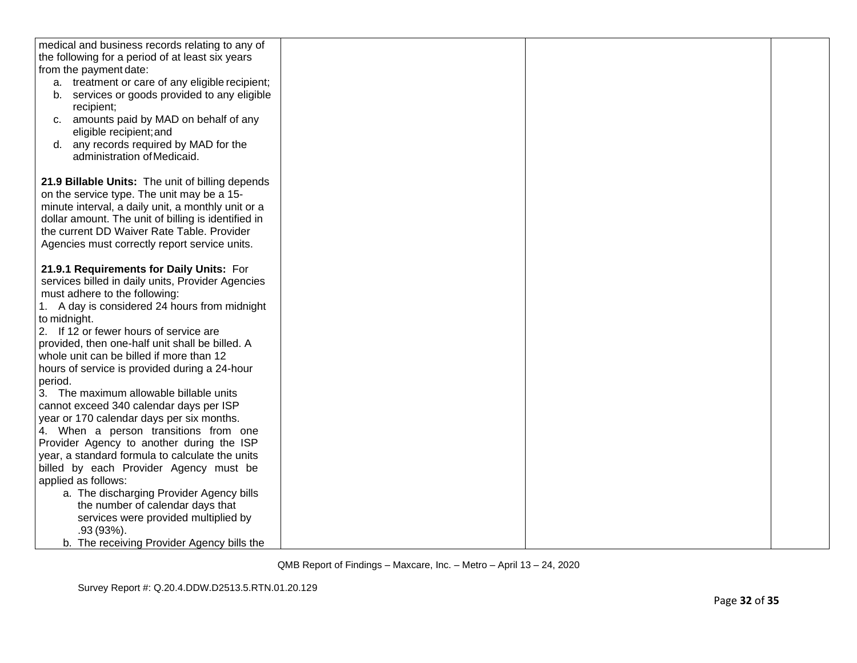| medical and business records relating to any of     |  |  |
|-----------------------------------------------------|--|--|
| the following for a period of at least six years    |  |  |
| from the payment date:                              |  |  |
| a. treatment or care of any eligible recipient;     |  |  |
| services or goods provided to any eligible<br>b.    |  |  |
| recipient;                                          |  |  |
| c. amounts paid by MAD on behalf of any             |  |  |
| eligible recipient; and                             |  |  |
| d. any records required by MAD for the              |  |  |
| administration of Medicaid.                         |  |  |
|                                                     |  |  |
| 21.9 Billable Units: The unit of billing depends    |  |  |
| on the service type. The unit may be a 15-          |  |  |
| minute interval, a daily unit, a monthly unit or a  |  |  |
| dollar amount. The unit of billing is identified in |  |  |
| the current DD Waiver Rate Table. Provider          |  |  |
| Agencies must correctly report service units.       |  |  |
|                                                     |  |  |
| 21.9.1 Requirements for Daily Units: For            |  |  |
| services billed in daily units, Provider Agencies   |  |  |
| must adhere to the following:                       |  |  |
| 1. A day is considered 24 hours from midnight       |  |  |
| to midnight.                                        |  |  |
| 2. If 12 or fewer hours of service are              |  |  |
| provided, then one-half unit shall be billed. A     |  |  |
| whole unit can be billed if more than 12            |  |  |
| hours of service is provided during a 24-hour       |  |  |
| period.                                             |  |  |
| 3. The maximum allowable billable units             |  |  |
| cannot exceed 340 calendar days per ISP             |  |  |
| year or 170 calendar days per six months.           |  |  |
| 4. When a person transitions from one               |  |  |
| Provider Agency to another during the ISP           |  |  |
| year, a standard formula to calculate the units     |  |  |
| billed by each Provider Agency must be              |  |  |
| applied as follows:                                 |  |  |
| a. The discharging Provider Agency bills            |  |  |
| the number of calendar days that                    |  |  |
| services were provided multiplied by                |  |  |
| $.93(93%)$ .                                        |  |  |
| b. The receiving Provider Agency bills the          |  |  |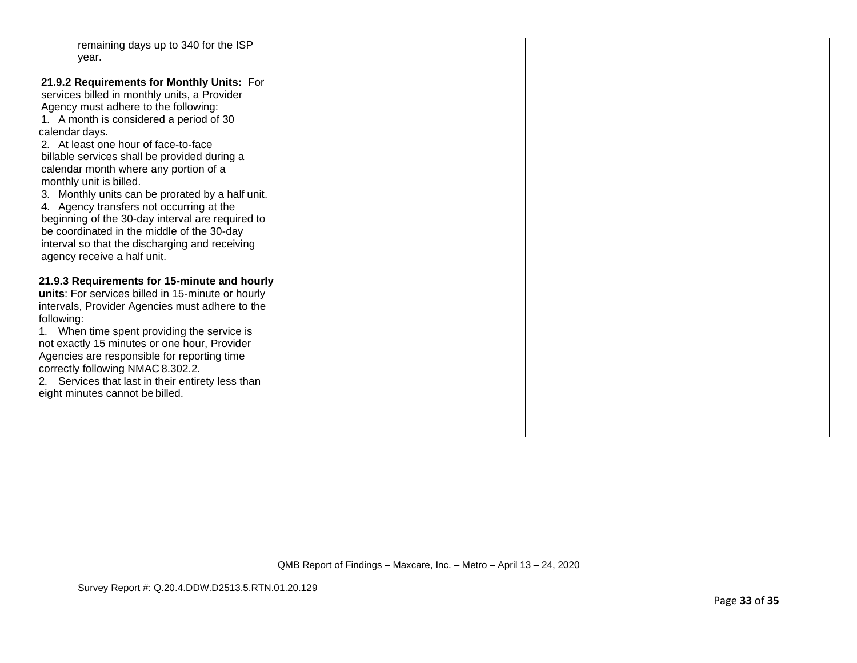| remaining days up to 340 for the ISP<br>year.     |  |  |
|---------------------------------------------------|--|--|
|                                                   |  |  |
| 21.9.2 Requirements for Monthly Units: For        |  |  |
| services billed in monthly units, a Provider      |  |  |
| Agency must adhere to the following:              |  |  |
| 1. A month is considered a period of 30           |  |  |
| calendar days.                                    |  |  |
| 2. At least one hour of face-to-face              |  |  |
| billable services shall be provided during a      |  |  |
| calendar month where any portion of a             |  |  |
| monthly unit is billed.                           |  |  |
| 3. Monthly units can be prorated by a half unit.  |  |  |
| 4. Agency transfers not occurring at the          |  |  |
| beginning of the 30-day interval are required to  |  |  |
| be coordinated in the middle of the 30-day        |  |  |
| interval so that the discharging and receiving    |  |  |
| agency receive a half unit.                       |  |  |
| 21.9.3 Requirements for 15-minute and hourly      |  |  |
| units: For services billed in 15-minute or hourly |  |  |
| intervals, Provider Agencies must adhere to the   |  |  |
| following:                                        |  |  |
| 1. When time spent providing the service is       |  |  |
| not exactly 15 minutes or one hour, Provider      |  |  |
| Agencies are responsible for reporting time       |  |  |
| correctly following NMAC 8.302.2.                 |  |  |
| 2. Services that last in their entirety less than |  |  |
| eight minutes cannot be billed.                   |  |  |
|                                                   |  |  |
|                                                   |  |  |
|                                                   |  |  |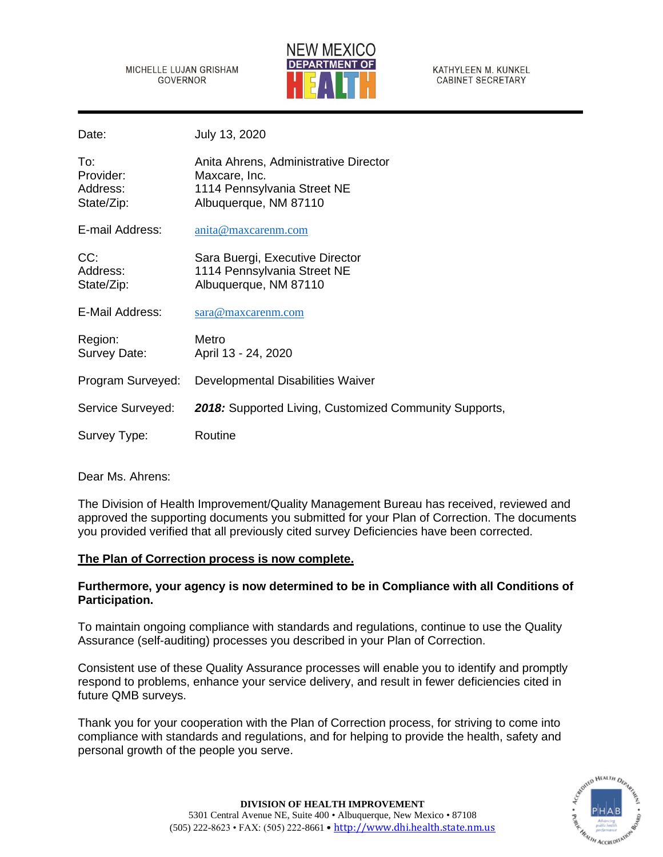MICHELLE LUJAN GRISHAM **GOVERNOR** 



KATHYLEEN M. KUNKEL **CABINET SECRETARY** 

Date: July 13, 2020

| To:<br>Provider:<br>Address:<br>State/Zip: | Anita Ahrens, Administrative Director<br>Maxcare, Inc.<br>1114 Pennsylvania Street NE<br>Albuquerque, NM 87110 |
|--------------------------------------------|----------------------------------------------------------------------------------------------------------------|
| E-mail Address:                            | anita@maxcarenm.com                                                                                            |
| CC:<br>Address:<br>State/Zip:              | Sara Buergi, Executive Director<br>1114 Pennsylvania Street NE<br>Albuquerque, NM 87110                        |
| E-Mail Address:                            | sara@maxcarenm.com                                                                                             |
| Region:<br>Survey Date:                    | Metro<br>April 13 - 24, 2020                                                                                   |
| Program Surveyed:                          | Developmental Disabilities Waiver                                                                              |
| Service Surveyed:                          | <b>2018:</b> Supported Living, Customized Community Supports,                                                  |
| Survey Type:                               | Routine                                                                                                        |

Dear Ms. Ahrens:

The Division of Health Improvement/Quality Management Bureau has received, reviewed and approved the supporting documents you submitted for your Plan of Correction. The documents you provided verified that all previously cited survey Deficiencies have been corrected.

# **The Plan of Correction process is now complete.**

# **Furthermore, your agency is now determined to be in Compliance with all Conditions of Participation.**

To maintain ongoing compliance with standards and regulations, continue to use the Quality Assurance (self-auditing) processes you described in your Plan of Correction.

Consistent use of these Quality Assurance processes will enable you to identify and promptly respond to problems, enhance your service delivery, and result in fewer deficiencies cited in future QMB surveys.

Thank you for your cooperation with the Plan of Correction process, for striving to come into compliance with standards and regulations, and for helping to provide the health, safety and personal growth of the people you serve.